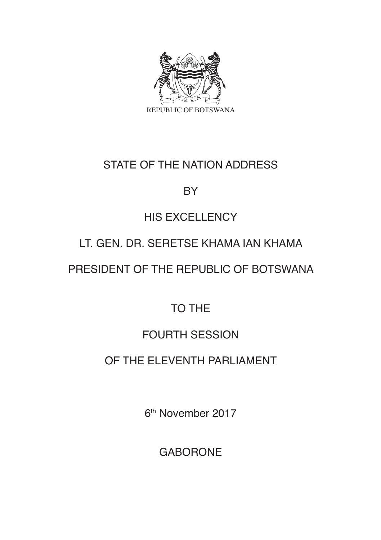

## STATE OF THE NATION ADDRESS

## BY

# HIS EXCELLENCY

# LT. GEN. DR. SERETSE KHAMA IAN KHAMA

# PRESIDENT OF THE REPUBLIC OF BOTSWANA

# TO THE

# FOURTH SESSION

# OF THE ELEVENTH PARLIAMENT

6th November 2017

GABORONE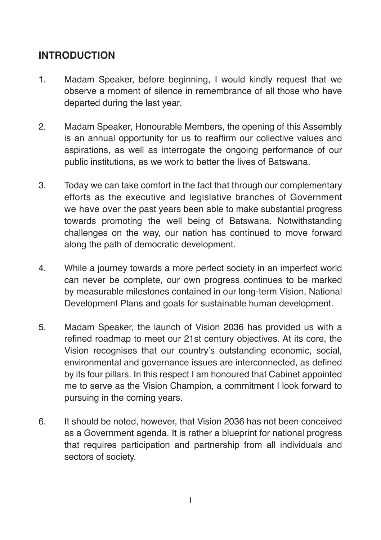## **INTRODUCTION**

- 1. Madam Speaker, before beginning, I would kindly request that we observe a moment of silence in remembrance of all those who have departed during the last year.
- 2. Madam Speaker, Honourable Members, the opening of this Assembly is an annual opportunity for us to reaffirm our collective values and aspirations, as well as interrogate the ongoing performance of our public institutions, as we work to better the lives of Batswana.
- 3. Today we can take comfort in the fact that through our complementary efforts as the executive and legislative branches of Government we have over the past years been able to make substantial progress towards promoting the well being of Batswana. Notwithstanding challenges on the way, our nation has continued to move forward along the path of democratic development.
- 4. While a journey towards a more perfect society in an imperfect world can never be complete, our own progress continues to be marked by measurable milestones contained in our long-term Vision, National Development Plans and goals for sustainable human development.
- 5. Madam Speaker, the launch of Vision 2036 has provided us with a refined roadmap to meet our 21st century objectives. At its core, the Vision recognises that our country's outstanding economic, social, environmental and governance issues are interconnected, as defined by its four pillars. In this respect I am honoured that Cabinet appointed me to serve as the Vision Champion, a commitment I look forward to pursuing in the coming years.
- 6. It should be noted, however, that Vision 2036 has not been conceived as a Government agenda. It is rather a blueprint for national progress that requires participation and partnership from all individuals and sectors of society.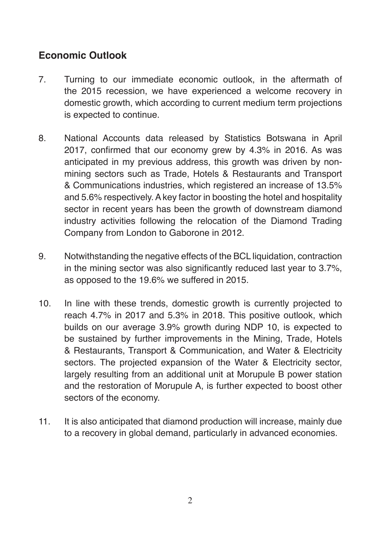## **Economic Outlook**

- 7. Turning to our immediate economic outlook, in the aftermath of the 2015 recession, we have experienced a welcome recovery in domestic growth, which according to current medium term projections is expected to continue.
- 8. National Accounts data released by Statistics Botswana in April 2017, confirmed that our economy grew by 4.3% in 2016. As was anticipated in my previous address, this growth was driven by nonmining sectors such as Trade, Hotels & Restaurants and Transport & Communications industries, which registered an increase of 13.5% and 5.6% respectively. A key factor in boosting the hotel and hospitality sector in recent years has been the growth of downstream diamond industry activities following the relocation of the Diamond Trading Company from London to Gaborone in 2012.
- 9. Notwithstanding the negative effects of the BCL liquidation, contraction in the mining sector was also significantly reduced last year to 3.7%, as opposed to the 19.6% we suffered in 2015.
- 10. In line with these trends, domestic growth is currently projected to reach 4.7% in 2017 and 5.3% in 2018. This positive outlook, which builds on our average 3.9% growth during NDP 10, is expected to be sustained by further improvements in the Mining, Trade, Hotels & Restaurants, Transport & Communication, and Water & Electricity sectors. The projected expansion of the Water & Electricity sector, largely resulting from an additional unit at Morupule B power station and the restoration of Morupule A, is further expected to boost other sectors of the economy.
- 11. It is also anticipated that diamond production will increase, mainly due to a recovery in global demand, particularly in advanced economies.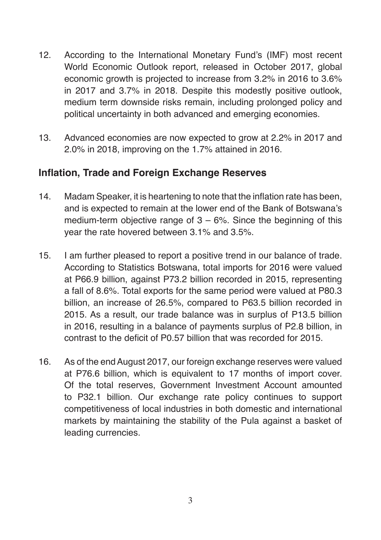- 12. According to the International Monetary Fund's (IMF) most recent World Economic Outlook report, released in October 2017, global economic growth is projected to increase from 3.2% in 2016 to 3.6% in 2017 and 3.7% in 2018. Despite this modestly positive outlook, medium term downside risks remain, including prolonged policy and political uncertainty in both advanced and emerging economies.
- 13. Advanced economies are now expected to grow at 2.2% in 2017 and 2.0% in 2018, improving on the 1.7% attained in 2016.

#### **Inflation, Trade and Foreign Exchange Reserves**

- 14. Madam Speaker, it is heartening to note that the inflation rate has been, and is expected to remain at the lower end of the Bank of Botswana's medium-term objective range of  $3 - 6$ %. Since the beginning of this year the rate hovered between 3.1% and 3.5%.
- 15. I am further pleased to report a positive trend in our balance of trade. According to Statistics Botswana, total imports for 2016 were valued at P66.9 billion, against P73.2 billion recorded in 2015, representing a fall of 8.6%. Total exports for the same period were valued at P80.3 billion, an increase of 26.5%, compared to P63.5 billion recorded in 2015. As a result, our trade balance was in surplus of P13.5 billion in 2016, resulting in a balance of payments surplus of P2.8 billion, in contrast to the deficit of P0.57 billion that was recorded for 2015.
- 16. As of the end August 2017, our foreign exchange reserves were valued at P76.6 billion, which is equivalent to 17 months of import cover. Of the total reserves, Government Investment Account amounted to P32.1 billion. Our exchange rate policy continues to support competitiveness of local industries in both domestic and international markets by maintaining the stability of the Pula against a basket of leading currencies.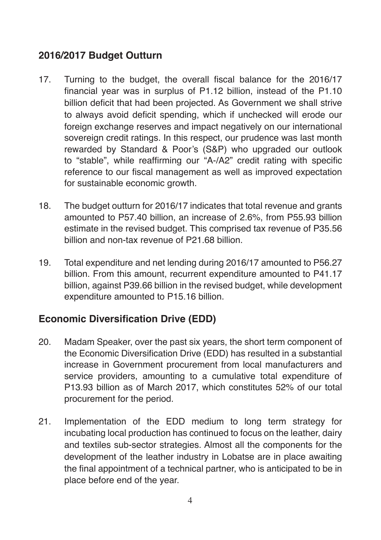### **2016/2017 Budget Outturn**

- 17. Turning to the budget, the overall fiscal balance for the 2016/17 financial year was in surplus of P1.12 billion, instead of the P1.10 billion deficit that had been projected. As Government we shall strive to always avoid deficit spending, which if unchecked will erode our foreign exchange reserves and impact negatively on our international sovereign credit ratings. In this respect, our prudence was last month rewarded by Standard & Poor's (S&P) who upgraded our outlook to "stable", while reaffirming our "A-/A2" credit rating with specific reference to our fiscal management as well as improved expectation for sustainable economic growth.
- 18. The budget outturn for 2016/17 indicates that total revenue and grants amounted to P57.40 billion, an increase of 2.6%, from P55.93 billion estimate in the revised budget. This comprised tax revenue of P35.56 billion and non-tax revenue of P21.68 billion.
- 19. Total expenditure and net lending during 2016/17 amounted to P56.27 billion. From this amount, recurrent expenditure amounted to P41.17 billion, against P39.66 billion in the revised budget, while development expenditure amounted to P15.16 billion.

## **Economic Diversification Drive (EDD)**

- 20. Madam Speaker, over the past six years, the short term component of the Economic Diversification Drive (EDD) has resulted in a substantial increase in Government procurement from local manufacturers and service providers, amounting to a cumulative total expenditure of P13.93 billion as of March 2017, which constitutes 52% of our total procurement for the period.
- 21. Implementation of the EDD medium to long term strategy for incubating local production has continued to focus on the leather, dairy and textiles sub-sector strategies. Almost all the components for the development of the leather industry in Lobatse are in place awaiting the final appointment of a technical partner, who is anticipated to be in place before end of the year.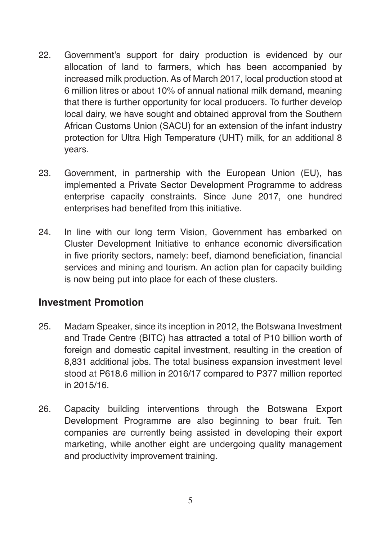- 22. Government's support for dairy production is evidenced by our allocation of land to farmers, which has been accompanied by increased milk production. As of March 2017, local production stood at 6 million litres or about 10% of annual national milk demand, meaning that there is further opportunity for local producers. To further develop local dairy, we have sought and obtained approval from the Southern African Customs Union (SACU) for an extension of the infant industry protection for Ultra High Temperature (UHT) milk, for an additional 8 years.
- 23. Government, in partnership with the European Union (EU), has implemented a Private Sector Development Programme to address enterprise capacity constraints. Since June 2017, one hundred enterprises had benefited from this initiative.
- 24. In line with our long term Vision, Government has embarked on Cluster Development Initiative to enhance economic diversification in five priority sectors, namely: beef, diamond beneficiation, financial services and mining and tourism. An action plan for capacity building is now being put into place for each of these clusters.

#### **Investment Promotion**

- 25. Madam Speaker, since its inception in 2012, the Botswana Investment and Trade Centre (BITC) has attracted a total of P10 billion worth of foreign and domestic capital investment, resulting in the creation of 8,831 additional jobs. The total business expansion investment level stood at P618.6 million in 2016/17 compared to P377 million reported in 2015/16.
- 26. Capacity building interventions through the Botswana Export Development Programme are also beginning to bear fruit. Ten companies are currently being assisted in developing their export marketing, while another eight are undergoing quality management and productivity improvement training.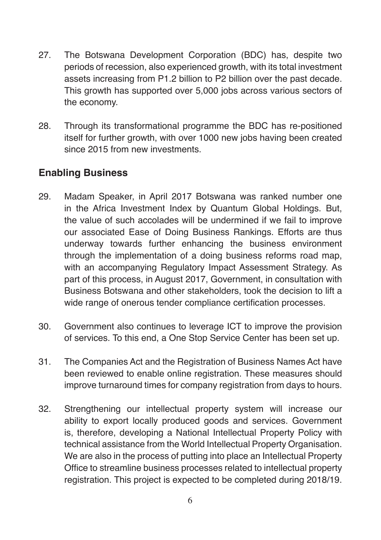- 27. The Botswana Development Corporation (BDC) has, despite two periods of recession, also experienced growth, with its total investment assets increasing from P1.2 billion to P2 billion over the past decade. This growth has supported over 5,000 jobs across various sectors of the economy.
- 28. Through its transformational programme the BDC has re-positioned itself for further growth, with over 1000 new jobs having been created since 2015 from new investments.

#### **Enabling Business**

- 29. Madam Speaker, in April 2017 Botswana was ranked number one in the Africa Investment Index by Quantum Global Holdings. But, the value of such accolades will be undermined if we fail to improve our associated Ease of Doing Business Rankings. Efforts are thus underway towards further enhancing the business environment through the implementation of a doing business reforms road map, with an accompanying Regulatory Impact Assessment Strategy. As part of this process, in August 2017, Government, in consultation with Business Botswana and other stakeholders, took the decision to lift a wide range of onerous tender compliance certification processes.
- 30. Government also continues to leverage ICT to improve the provision of services. To this end, a One Stop Service Center has been set up.
- 31. The Companies Act and the Registration of Business Names Act have been reviewed to enable online registration. These measures should improve turnaround times for company registration from days to hours.
- 32. Strengthening our intellectual property system will increase our ability to export locally produced goods and services. Government is, therefore, developing a National Intellectual Property Policy with technical assistance from the World Intellectual Property Organisation. We are also in the process of putting into place an Intellectual Property Office to streamline business processes related to intellectual property registration. This project is expected to be completed during 2018/19.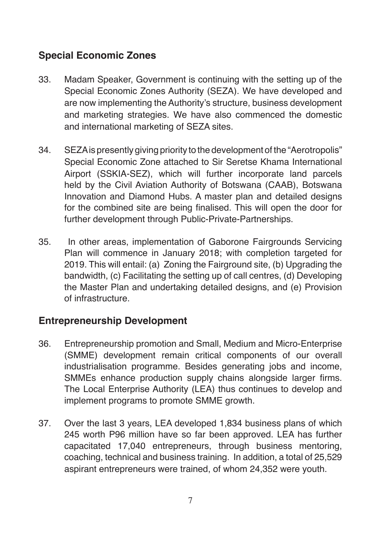## **Special Economic Zones**

- 33. Madam Speaker, Government is continuing with the setting up of the Special Economic Zones Authority (SEZA). We have developed and are now implementing the Authority's structure, business development and marketing strategies. We have also commenced the domestic and international marketing of SEZA sites.
- 34. SEZA is presently giving priority to the development of the "Aerotropolis" Special Economic Zone attached to Sir Seretse Khama International Airport (SSKIA-SEZ), which will further incorporate land parcels held by the Civil Aviation Authority of Botswana (CAAB), Botswana Innovation and Diamond Hubs. A master plan and detailed designs for the combined site are being finalised. This will open the door for further development through Public-Private-Partnerships.
- 35. In other areas, implementation of Gaborone Fairgrounds Servicing Plan will commence in January 2018; with completion targeted for 2019. This will entail: (a) Zoning the Fairground site, (b) Upgrading the bandwidth, (c) Facilitating the setting up of call centres, (d) Developing the Master Plan and undertaking detailed designs, and (e) Provision of infrastructure.

### **Entrepreneurship Development**

- 36. Entrepreneurship promotion and Small, Medium and Micro-Enterprise (SMME) development remain critical components of our overall industrialisation programme. Besides generating jobs and income, SMMEs enhance production supply chains alongside larger firms. The Local Enterprise Authority (LEA) thus continues to develop and implement programs to promote SMME growth.
- 37. Over the last 3 years, LEA developed 1,834 business plans of which 245 worth P96 million have so far been approved. LEA has further capacitated 17,040 entrepreneurs, through business mentoring, coaching, technical and business training. In addition, a total of 25,529 aspirant entrepreneurs were trained, of whom 24,352 were youth.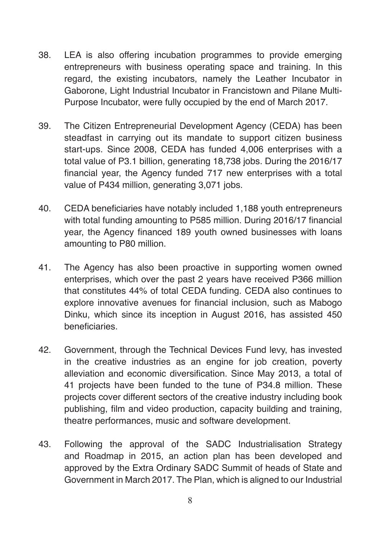- 38. LEA is also offering incubation programmes to provide emerging entrepreneurs with business operating space and training. In this regard, the existing incubators, namely the Leather Incubator in Gaborone, Light Industrial Incubator in Francistown and Pilane Multi-Purpose Incubator, were fully occupied by the end of March 2017.
- 39. The Citizen Entrepreneurial Development Agency (CEDA) has been steadfast in carrying out its mandate to support citizen business start-ups. Since 2008, CEDA has funded 4,006 enterprises with a total value of P3.1 billion, generating 18,738 jobs. During the 2016/17 financial year, the Agency funded 717 new enterprises with a total value of P434 million, generating 3,071 jobs.
- 40. CEDA beneficiaries have notably included 1,188 youth entrepreneurs with total funding amounting to P585 million. During 2016/17 financial year, the Agency financed 189 youth owned businesses with loans amounting to P80 million.
- 41. The Agency has also been proactive in supporting women owned enterprises, which over the past 2 years have received P366 million that constitutes 44% of total CEDA funding. CEDA also continues to explore innovative avenues for financial inclusion, such as Mabogo Dinku, which since its inception in August 2016, has assisted 450 beneficiaries.
- 42. Government, through the Technical Devices Fund levy, has invested in the creative industries as an engine for job creation, poverty alleviation and economic diversification. Since May 2013, a total of 41 projects have been funded to the tune of P34.8 million. These projects cover different sectors of the creative industry including book publishing, film and video production, capacity building and training, theatre performances, music and software development.
- 43. Following the approval of the SADC Industrialisation Strategy and Roadmap in 2015, an action plan has been developed and approved by the Extra Ordinary SADC Summit of heads of State and Government in March 2017. The Plan, which is aligned to our Industrial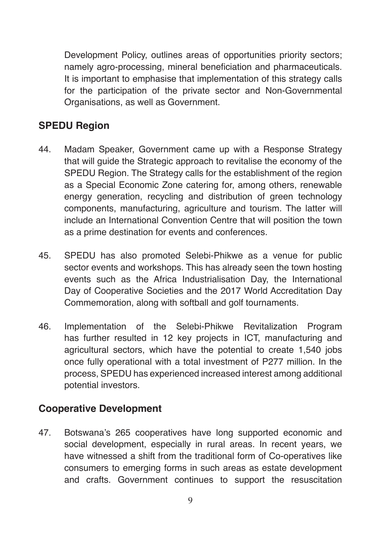Development Policy, outlines areas of opportunities priority sectors; namely agro-processing, mineral beneficiation and pharmaceuticals. It is important to emphasise that implementation of this strategy calls for the participation of the private sector and Non-Governmental Organisations, as well as Government.

### **SPEDU Region**

- 44. Madam Speaker, Government came up with a Response Strategy that will guide the Strategic approach to revitalise the economy of the SPEDU Region. The Strategy calls for the establishment of the region as a Special Economic Zone catering for, among others, renewable energy generation, recycling and distribution of green technology components, manufacturing, agriculture and tourism. The latter will include an International Convention Centre that will position the town as a prime destination for events and conferences.
- 45. SPEDU has also promoted Selebi-Phikwe as a venue for public sector events and workshops. This has already seen the town hosting events such as the Africa Industrialisation Day, the International Day of Cooperative Societies and the 2017 World Accreditation Day Commemoration, along with softball and golf tournaments.
- 46. Implementation of the Selebi-Phikwe Revitalization Program has further resulted in 12 key projects in ICT, manufacturing and agricultural sectors, which have the potential to create 1,540 jobs once fully operational with a total investment of P277 million. In the process, SPEDU has experienced increased interest among additional potential investors.

#### **Cooperative Development**

47. Botswana's 265 cooperatives have long supported economic and social development, especially in rural areas. In recent years, we have witnessed a shift from the traditional form of Co-operatives like consumers to emerging forms in such areas as estate development and crafts. Government continues to support the resuscitation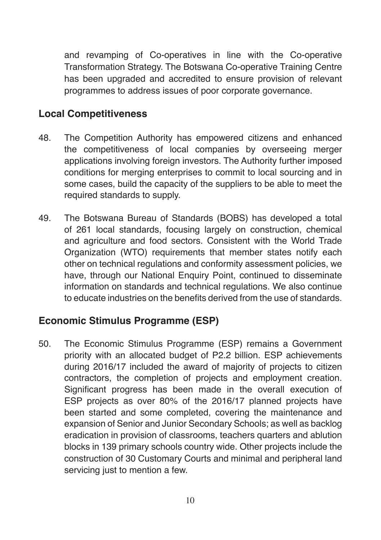and revamping of Co-operatives in line with the Co-operative Transformation Strategy. The Botswana Co-operative Training Centre has been upgraded and accredited to ensure provision of relevant programmes to address issues of poor corporate governance.

#### **Local Competitiveness**

- 48. The Competition Authority has empowered citizens and enhanced the competitiveness of local companies by overseeing merger applications involving foreign investors. The Authority further imposed conditions for merging enterprises to commit to local sourcing and in some cases, build the capacity of the suppliers to be able to meet the required standards to supply.
- 49. The Botswana Bureau of Standards (BOBS) has developed a total of 261 local standards, focusing largely on construction, chemical and agriculture and food sectors. Consistent with the World Trade Organization (WTO) requirements that member states notify each other on technical regulations and conformity assessment policies, we have, through our National Enquiry Point, continued to disseminate information on standards and technical regulations. We also continue to educate industries on the benefits derived from the use of standards.

### **Economic Stimulus Programme (ESP)**

50. The Economic Stimulus Programme (ESP) remains a Government priority with an allocated budget of P2.2 billion. ESP achievements during 2016/17 included the award of majority of projects to citizen contractors, the completion of projects and employment creation. Significant progress has been made in the overall execution of ESP projects as over 80% of the 2016/17 planned projects have been started and some completed, covering the maintenance and expansion of Senior and Junior Secondary Schools; as well as backlog eradication in provision of classrooms, teachers quarters and ablution blocks in 139 primary schools country wide. Other projects include the construction of 30 Customary Courts and minimal and peripheral land servicing just to mention a few.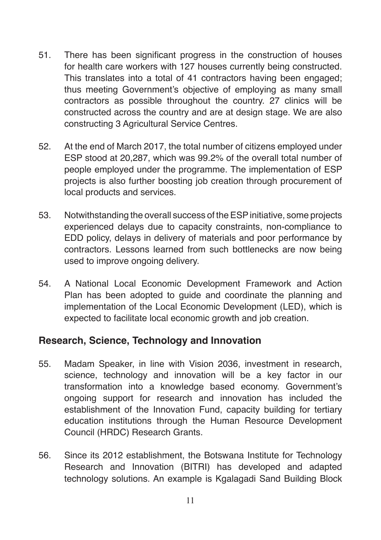- 51. There has been significant progress in the construction of houses for health care workers with 127 houses currently being constructed. This translates into a total of 41 contractors having been engaged; thus meeting Government's objective of employing as many small contractors as possible throughout the country. 27 clinics will be constructed across the country and are at design stage. We are also constructing 3 Agricultural Service Centres.
- 52. At the end of March 2017, the total number of citizens employed under ESP stood at 20,287, which was 99.2% of the overall total number of people employed under the programme. The implementation of ESP projects is also further boosting job creation through procurement of local products and services.
- 53. Notwithstanding the overall success of the ESP initiative, some projects experienced delays due to capacity constraints, non-compliance to EDD policy, delays in delivery of materials and poor performance by contractors. Lessons learned from such bottlenecks are now being used to improve ongoing delivery.
- 54. A National Local Economic Development Framework and Action Plan has been adopted to guide and coordinate the planning and implementation of the Local Economic Development (LED), which is expected to facilitate local economic growth and job creation.

#### **Research, Science, Technology and Innovation**

- 55. Madam Speaker, in line with Vision 2036, investment in research, science, technology and innovation will be a key factor in our transformation into a knowledge based economy. Government's ongoing support for research and innovation has included the establishment of the Innovation Fund, capacity building for tertiary education institutions through the Human Resource Development Council (HRDC) Research Grants.
- 56. Since its 2012 establishment, the Botswana Institute for Technology Research and Innovation (BITRI) has developed and adapted technology solutions. An example is Kgalagadi Sand Building Block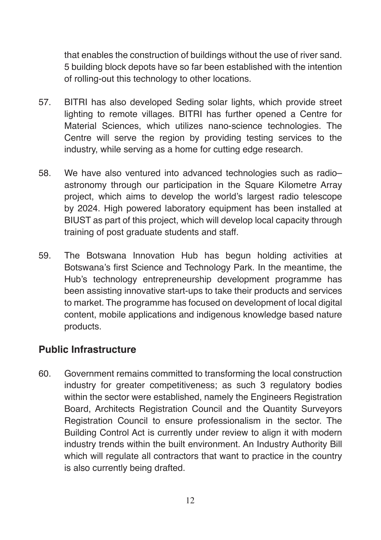that enables the construction of buildings without the use of river sand. 5 building block depots have so far been established with the intention of rolling-out this technology to other locations.

- 57. BITRI has also developed Seding solar lights, which provide street lighting to remote villages. BITRI has further opened a Centre for Material Sciences, which utilizes nano-science technologies. The Centre will serve the region by providing testing services to the industry, while serving as a home for cutting edge research.
- 58. We have also ventured into advanced technologies such as radio– astronomy through our participation in the Square Kilometre Array project, which aims to develop the world's largest radio telescope by 2024. High powered laboratory equipment has been installed at BIUST as part of this project, which will develop local capacity through training of post graduate students and staff.
- 59. The Botswana Innovation Hub has begun holding activities at Botswana's first Science and Technology Park. In the meantime, the Hub's technology entrepreneurship development programme has been assisting innovative start-ups to take their products and services to market. The programme has focused on development of local digital content, mobile applications and indigenous knowledge based nature products.

### **Public Infrastructure**

60. Government remains committed to transforming the local construction industry for greater competitiveness; as such 3 regulatory bodies within the sector were established, namely the Engineers Registration Board, Architects Registration Council and the Quantity Surveyors Registration Council to ensure professionalism in the sector. The Building Control Act is currently under review to align it with modern industry trends within the built environment. An Industry Authority Bill which will regulate all contractors that want to practice in the country is also currently being drafted.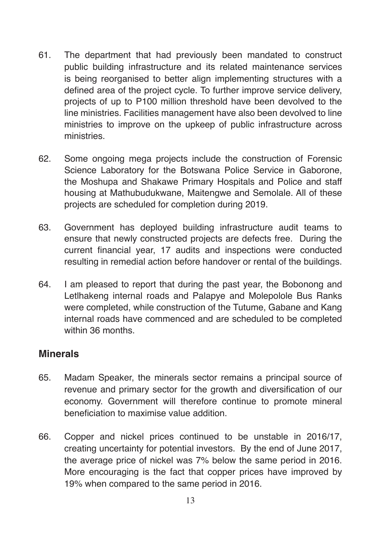- 61. The department that had previously been mandated to construct public building infrastructure and its related maintenance services is being reorganised to better align implementing structures with a defined area of the project cycle. To further improve service delivery, projects of up to P100 million threshold have been devolved to the line ministries. Facilities management have also been devolved to line ministries to improve on the upkeep of public infrastructure across ministries.
- 62. Some ongoing mega projects include the construction of Forensic Science Laboratory for the Botswana Police Service in Gaborone, the Moshupa and Shakawe Primary Hospitals and Police and staff housing at Mathubudukwane, Maitengwe and Semolale. All of these projects are scheduled for completion during 2019.
- 63. Government has deployed building infrastructure audit teams to ensure that newly constructed projects are defects free. During the current financial year, 17 audits and inspections were conducted resulting in remedial action before handover or rental of the buildings.
- 64. I am pleased to report that during the past year, the Bobonong and Letlhakeng internal roads and Palapye and Molepolole Bus Ranks were completed, while construction of the Tutume, Gabane and Kang internal roads have commenced and are scheduled to be completed within 36 months.

#### **Minerals**

- 65. Madam Speaker, the minerals sector remains a principal source of revenue and primary sector for the growth and diversification of our economy. Government will therefore continue to promote mineral beneficiation to maximise value addition.
- 66. Copper and nickel prices continued to be unstable in 2016/17, creating uncertainty for potential investors. By the end of June 2017, the average price of nickel was 7% below the same period in 2016. More encouraging is the fact that copper prices have improved by 19% when compared to the same period in 2016.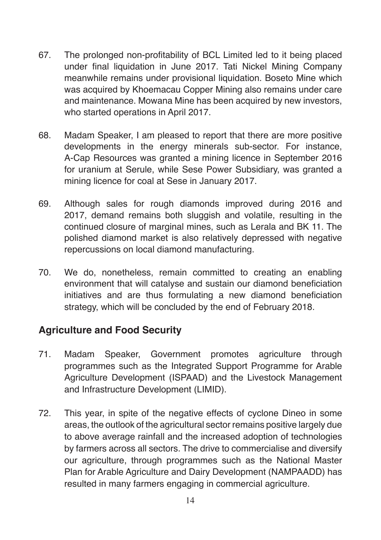- 67. The prolonged non-profitability of BCL Limited led to it being placed under final liquidation in June 2017. Tati Nickel Mining Company meanwhile remains under provisional liquidation. Boseto Mine which was acquired by Khoemacau Copper Mining also remains under care and maintenance. Mowana Mine has been acquired by new investors, who started operations in April 2017.
- 68. Madam Speaker, I am pleased to report that there are more positive developments in the energy minerals sub-sector. For instance, A-Cap Resources was granted a mining licence in September 2016 for uranium at Serule, while Sese Power Subsidiary, was granted a mining licence for coal at Sese in January 2017.
- 69. Although sales for rough diamonds improved during 2016 and 2017, demand remains both sluggish and volatile, resulting in the continued closure of marginal mines, such as Lerala and BK 11. The polished diamond market is also relatively depressed with negative repercussions on local diamond manufacturing.
- 70. We do, nonetheless, remain committed to creating an enabling environment that will catalyse and sustain our diamond beneficiation initiatives and are thus formulating a new diamond beneficiation strategy, which will be concluded by the end of February 2018.

## **Agriculture and Food Security**

- 71. Madam Speaker, Government promotes agriculture through programmes such as the Integrated Support Programme for Arable Agriculture Development (ISPAAD) and the Livestock Management and Infrastructure Development (LIMID).
- 72. This year, in spite of the negative effects of cyclone Dineo in some areas, the outlook of the agricultural sector remains positive largely due to above average rainfall and the increased adoption of technologies by farmers across all sectors. The drive to commercialise and diversify our agriculture, through programmes such as the National Master Plan for Arable Agriculture and Dairy Development (NAMPAADD) has resulted in many farmers engaging in commercial agriculture.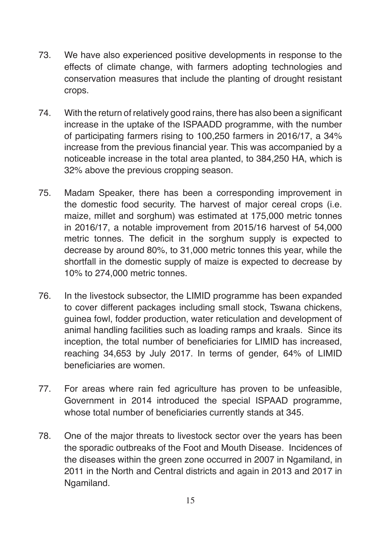- 73. We have also experienced positive developments in response to the effects of climate change, with farmers adopting technologies and conservation measures that include the planting of drought resistant crops.
- 74. With the return of relatively good rains, there has also been a significant increase in the uptake of the ISPAADD programme, with the number of participating farmers rising to 100,250 farmers in 2016/17, a 34% increase from the previous financial year. This was accompanied by a noticeable increase in the total area planted, to 384,250 HA, which is 32% above the previous cropping season.
- 75. Madam Speaker, there has been a corresponding improvement in the domestic food security. The harvest of major cereal crops (i.e. maize, millet and sorghum) was estimated at 175,000 metric tonnes in 2016/17, a notable improvement from 2015/16 harvest of 54,000 metric tonnes. The deficit in the sorghum supply is expected to decrease by around 80%, to 31,000 metric tonnes this year, while the shortfall in the domestic supply of maize is expected to decrease by 10% to 274,000 metric tonnes.
- 76. In the livestock subsector, the LIMID programme has been expanded to cover different packages including small stock, Tswana chickens, guinea fowl, fodder production, water reticulation and development of animal handling facilities such as loading ramps and kraals. Since its inception, the total number of beneficiaries for LIMID has increased, reaching 34,653 by July 2017. In terms of gender, 64% of LIMID beneficiaries are women.
- 77. For areas where rain fed agriculture has proven to be unfeasible, Government in 2014 introduced the special ISPAAD programme, whose total number of beneficiaries currently stands at 345.
- 78. One of the major threats to livestock sector over the years has been the sporadic outbreaks of the Foot and Mouth Disease. Incidences of the diseases within the green zone occurred in 2007 in Ngamiland, in 2011 in the North and Central districts and again in 2013 and 2017 in Ngamiland.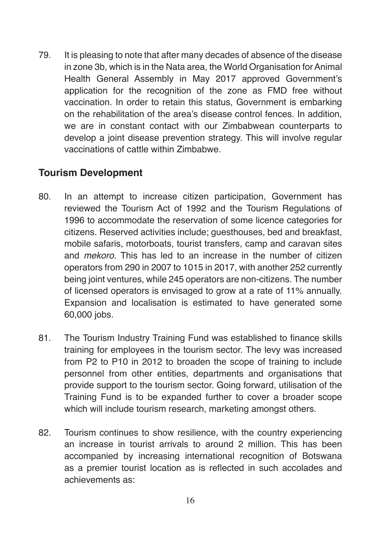79. It is pleasing to note that after many decades of absence of the disease in zone 3b, which is in the Nata area, the World Organisation for Animal Health General Assembly in May 2017 approved Government's application for the recognition of the zone as FMD free without vaccination. In order to retain this status, Government is embarking on the rehabilitation of the area's disease control fences. In addition, we are in constant contact with our Zimbabwean counterparts to develop a joint disease prevention strategy. This will involve regular vaccinations of cattle within Zimbabwe.

#### **Tourism Development**

- 80. In an attempt to increase citizen participation, Government has reviewed the Tourism Act of 1992 and the Tourism Regulations of 1996 to accommodate the reservation of some licence categories for citizens. Reserved activities include; guesthouses, bed and breakfast, mobile safaris, motorboats, tourist transfers, camp and caravan sites and *mekoro*. This has led to an increase in the number of citizen operators from 290 in 2007 to 1015 in 2017, with another 252 currently being joint ventures, while 245 operators are non-citizens. The number of licensed operators is envisaged to grow at a rate of 11% annually. Expansion and localisation is estimated to have generated some 60,000 jobs.
- 81. The Tourism Industry Training Fund was established to finance skills training for employees in the tourism sector. The levy was increased from P2 to P10 in 2012 to broaden the scope of training to include personnel from other entities, departments and organisations that provide support to the tourism sector. Going forward, utilisation of the Training Fund is to be expanded further to cover a broader scope which will include tourism research, marketing amongst others.
- 82. Tourism continues to show resilience, with the country experiencing an increase in tourist arrivals to around 2 million. This has been accompanied by increasing international recognition of Botswana as a premier tourist location as is reflected in such accolades and achievements as: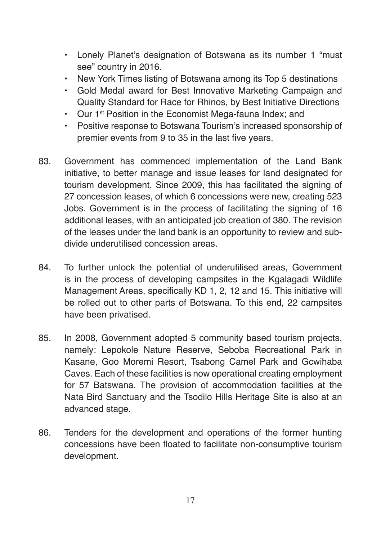- Lonely Planet's designation of Botswana as its number 1 "must see" country in 2016.
- New York Times listing of Botswana among its Top 5 destinations
- Gold Medal award for Best Innovative Marketing Campaign and Quality Standard for Race for Rhinos, by Best Initiative Directions
- Our 1<sup>st</sup> Position in the Economist Mega-fauna Index; and
- Positive response to Botswana Tourism's increased sponsorship of premier events from 9 to 35 in the last five years.
- 83. Government has commenced implementation of the Land Bank initiative, to better manage and issue leases for land designated for tourism development. Since 2009, this has facilitated the signing of 27 concession leases, of which 6 concessions were new, creating 523 Jobs. Government is in the process of facilitating the signing of 16 additional leases, with an anticipated job creation of 380. The revision of the leases under the land bank is an opportunity to review and subdivide underutilised concession areas.
- 84. To further unlock the potential of underutilised areas, Government is in the process of developing campsites in the Kgalagadi Wildlife Management Areas, specifically KD 1, 2, 12 and 15. This initiative will be rolled out to other parts of Botswana. To this end, 22 campsites have been privatised.
- 85. In 2008, Government adopted 5 community based tourism projects, namely: Lepokole Nature Reserve, Seboba Recreational Park in Kasane, Goo Moremi Resort, Tsabong Camel Park and Gcwihaba Caves. Each of these facilities is now operational creating employment for 57 Batswana. The provision of accommodation facilities at the Nata Bird Sanctuary and the Tsodilo Hills Heritage Site is also at an advanced stage.
- 86. Tenders for the development and operations of the former hunting concessions have been floated to facilitate non-consumptive tourism development.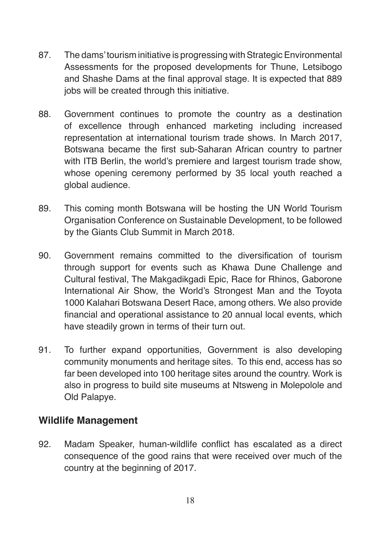- 87. The dams' tourism initiative is progressing with Strategic Environmental Assessments for the proposed developments for Thune, Letsibogo and Shashe Dams at the final approval stage. It is expected that 889 jobs will be created through this initiative.
- 88. Government continues to promote the country as a destination of excellence through enhanced marketing including increased representation at international tourism trade shows. In March 2017, Botswana became the first sub-Saharan African country to partner with ITB Berlin, the world's premiere and largest tourism trade show. whose opening ceremony performed by 35 local youth reached a global audience.
- 89. This coming month Botswana will be hosting the UN World Tourism Organisation Conference on Sustainable Development, to be followed by the Giants Club Summit in March 2018.
- 90. Government remains committed to the diversification of tourism through support for events such as Khawa Dune Challenge and Cultural festival, The Makgadikgadi Epic, Race for Rhinos, Gaborone International Air Show, the World's Strongest Man and the Toyota 1000 Kalahari Botswana Desert Race, among others. We also provide financial and operational assistance to 20 annual local events, which have steadily grown in terms of their turn out.
- 91. To further expand opportunities, Government is also developing community monuments and heritage sites. To this end, access has so far been developed into 100 heritage sites around the country. Work is also in progress to build site museums at Ntsweng in Molepolole and Old Palapye.

#### **Wildlife Management**

92. Madam Speaker, human-wildlife conflict has escalated as a direct consequence of the good rains that were received over much of the country at the beginning of 2017.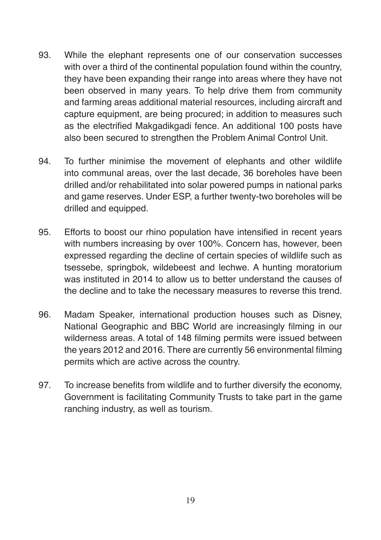- 93. While the elephant represents one of our conservation successes with over a third of the continental population found within the country, they have been expanding their range into areas where they have not been observed in many years. To help drive them from community and farming areas additional material resources, including aircraft and capture equipment, are being procured; in addition to measures such as the electrified Makgadikgadi fence. An additional 100 posts have also been secured to strengthen the Problem Animal Control Unit.
- 94. To further minimise the movement of elephants and other wildlife into communal areas, over the last decade, 36 boreholes have been drilled and/or rehabilitated into solar powered pumps in national parks and game reserves. Under ESP, a further twenty-two boreholes will be drilled and equipped.
- 95. Efforts to boost our rhino population have intensified in recent years with numbers increasing by over 100%. Concern has, however, been expressed regarding the decline of certain species of wildlife such as tsessebe, springbok, wildebeest and lechwe. A hunting moratorium was instituted in 2014 to allow us to better understand the causes of the decline and to take the necessary measures to reverse this trend.
- 96. Madam Speaker, international production houses such as Disney, National Geographic and BBC World are increasingly filming in our wilderness areas. A total of 148 filming permits were issued between the years 2012 and 2016. There are currently 56 environmental filming permits which are active across the country.
- 97. To increase benefits from wildlife and to further diversify the economy, Government is facilitating Community Trusts to take part in the game ranching industry, as well as tourism.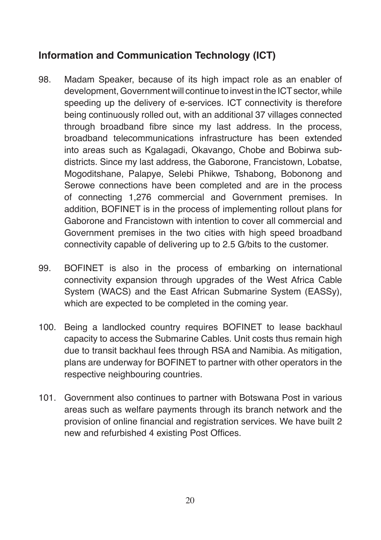## **Information and Communication Technology (ICT)**

- 98. Madam Speaker, because of its high impact role as an enabler of development, Government will continue to invest in the ICT sector, while speeding up the delivery of e-services. ICT connectivity is therefore being continuously rolled out, with an additional 37 villages connected through broadband fibre since my last address. In the process, broadband telecommunications infrastructure has been extended into areas such as Kgalagadi, Okavango, Chobe and Bobirwa subdistricts. Since my last address, the Gaborone, Francistown, Lobatse, Mogoditshane, Palapye, Selebi Phikwe, Tshabong, Bobonong and Serowe connections have been completed and are in the process of connecting 1,276 commercial and Government premises. In addition, BOFINET is in the process of implementing rollout plans for Gaborone and Francistown with intention to cover all commercial and Government premises in the two cities with high speed broadband connectivity capable of delivering up to 2.5 G/bits to the customer.
- 99. BOFINET is also in the process of embarking on international connectivity expansion through upgrades of the West Africa Cable System (WACS) and the East African Submarine System (EASSy), which are expected to be completed in the coming year.
- 100. Being a landlocked country requires BOFINET to lease backhaul capacity to access the Submarine Cables. Unit costs thus remain high due to transit backhaul fees through RSA and Namibia. As mitigation, plans are underway for BOFINET to partner with other operators in the respective neighbouring countries.
- 101. Government also continues to partner with Botswana Post in various areas such as welfare payments through its branch network and the provision of online financial and registration services. We have built 2 new and refurbished 4 existing Post Offices.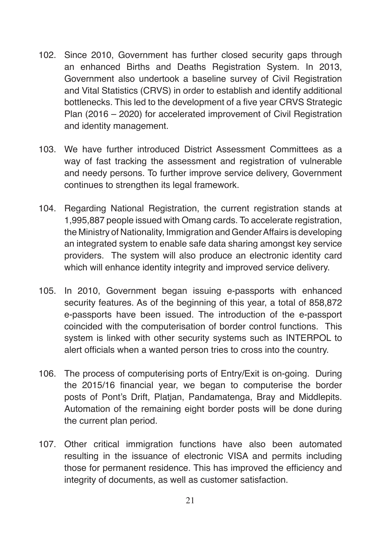- 102. Since 2010, Government has further closed security gaps through an enhanced Births and Deaths Registration System. In 2013, Government also undertook a baseline survey of Civil Registration and Vital Statistics (CRVS) in order to establish and identify additional bottlenecks. This led to the development of a five year CRVS Strategic Plan (2016 – 2020) for accelerated improvement of Civil Registration and identity management.
- 103. We have further introduced District Assessment Committees as a way of fast tracking the assessment and registration of vulnerable and needy persons. To further improve service delivery, Government continues to strengthen its legal framework.
- 104. Regarding National Registration, the current registration stands at 1,995,887 people issued with Omang cards. To accelerate registration, the Ministry of Nationality, Immigration and Gender Affairs is developing an integrated system to enable safe data sharing amongst key service providers. The system will also produce an electronic identity card which will enhance identity integrity and improved service delivery.
- 105. In 2010, Government began issuing e-passports with enhanced security features. As of the beginning of this year, a total of 858,872 e-passports have been issued. The introduction of the e-passport coincided with the computerisation of border control functions. This system is linked with other security systems such as INTERPOL to alert officials when a wanted person tries to cross into the country.
- 106. The process of computerising ports of Entry/Exit is on-going. During the 2015/16 financial year, we began to computerise the border posts of Pont's Drift, Platjan, Pandamatenga, Bray and Middlepits. Automation of the remaining eight border posts will be done during the current plan period.
- 107. Other critical immigration functions have also been automated resulting in the issuance of electronic VISA and permits including those for permanent residence. This has improved the efficiency and integrity of documents, as well as customer satisfaction.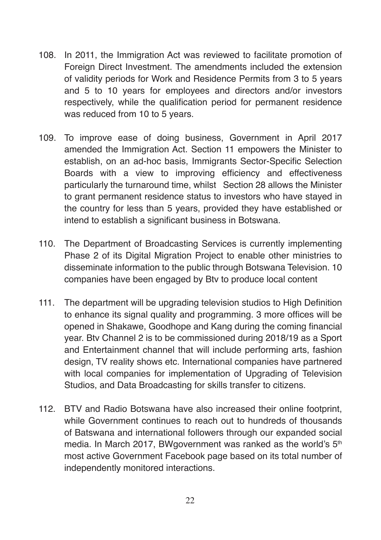- 108. In 2011, the Immigration Act was reviewed to facilitate promotion of Foreign Direct Investment. The amendments included the extension of validity periods for Work and Residence Permits from 3 to 5 years and 5 to 10 years for employees and directors and/or investors respectively, while the qualification period for permanent residence was reduced from 10 to 5 years.
- 109. To improve ease of doing business, Government in April 2017 amended the Immigration Act. Section 11 empowers the Minister to establish, on an ad-hoc basis, Immigrants Sector-Specific Selection Boards with a view to improving efficiency and effectiveness particularly the turnaround time, whilst Section 28 allows the Minister to grant permanent residence status to investors who have stayed in the country for less than 5 years, provided they have established or intend to establish a significant business in Botswana.
- 110. The Department of Broadcasting Services is currently implementing Phase 2 of its Digital Migration Project to enable other ministries to disseminate information to the public through Botswana Television. 10 companies have been engaged by Btv to produce local content
- 111. The department will be upgrading television studios to High Definition to enhance its signal quality and programming. 3 more offices will be opened in Shakawe, Goodhope and Kang during the coming financial year. Btv Channel 2 is to be commissioned during 2018/19 as a Sport and Entertainment channel that will include performing arts, fashion design, TV reality shows etc. International companies have partnered with local companies for implementation of Upgrading of Television Studios, and Data Broadcasting for skills transfer to citizens.
- 112. BTV and Radio Botswana have also increased their online footprint, while Government continues to reach out to hundreds of thousands of Batswana and international followers through our expanded social media. In March 2017, BWgovernment was ranked as the world's 5<sup>th</sup> most active Government Facebook page based on its total number of independently monitored interactions.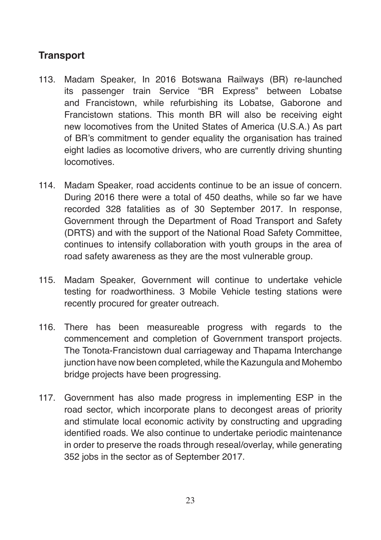## **Transport**

- 113. Madam Speaker, In 2016 Botswana Railways (BR) re-launched its passenger train Service "BR Express" between Lobatse and Francistown, while refurbishing its Lobatse, Gaborone and Francistown stations. This month BR will also be receiving eight new locomotives from the United States of America (U.S.A.) As part of BR's commitment to gender equality the organisation has trained eight ladies as locomotive drivers, who are currently driving shunting locomotives.
- 114. Madam Speaker, road accidents continue to be an issue of concern. During 2016 there were a total of 450 deaths, while so far we have recorded 328 fatalities as of 30 September 2017. In response, Government through the Department of Road Transport and Safety (DRTS) and with the support of the National Road Safety Committee, continues to intensify collaboration with youth groups in the area of road safety awareness as they are the most vulnerable group.
- 115. Madam Speaker, Government will continue to undertake vehicle testing for roadworthiness. 3 Mobile Vehicle testing stations were recently procured for greater outreach.
- 116. There has been measureable progress with regards to the commencement and completion of Government transport projects. The Tonota-Francistown dual carriageway and Thapama Interchange junction have now been completed, while the Kazungula and Mohembo bridge projects have been progressing.
- 117. Government has also made progress in implementing ESP in the road sector, which incorporate plans to decongest areas of priority and stimulate local economic activity by constructing and upgrading identified roads. We also continue to undertake periodic maintenance in order to preserve the roads through reseal/overlay, while generating 352 jobs in the sector as of September 2017.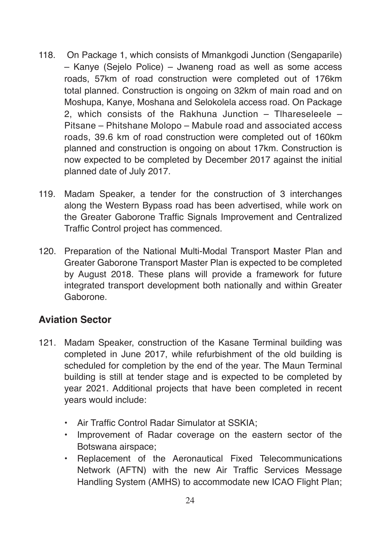- 118. On Package 1, which consists of Mmankgodi Junction (Sengaparile) – Kanye (Sejelo Police) – Jwaneng road as well as some access roads, 57km of road construction were completed out of 176km total planned. Construction is ongoing on 32km of main road and on Moshupa, Kanye, Moshana and Selokolela access road. On Package 2, which consists of the Rakhuna Junction – Tlhareseleele – Pitsane – Phitshane Molopo – Mabule road and associated access roads, 39.6 km of road construction were completed out of 160km planned and construction is ongoing on about 17km. Construction is now expected to be completed by December 2017 against the initial planned date of July 2017.
- 119. Madam Speaker, a tender for the construction of 3 interchanges along the Western Bypass road has been advertised, while work on the Greater Gaborone Traffic Signals Improvement and Centralized Traffic Control project has commenced.
- 120. Preparation of the National Multi-Modal Transport Master Plan and Greater Gaborone Transport Master Plan is expected to be completed by August 2018. These plans will provide a framework for future integrated transport development both nationally and within Greater Gaborone.

### **Aviation Sector**

- 121. Madam Speaker, construction of the Kasane Terminal building was completed in June 2017, while refurbishment of the old building is scheduled for completion by the end of the year. The Maun Terminal building is still at tender stage and is expected to be completed by year 2021. Additional projects that have been completed in recent years would include:
	- Air Traffic Control Radar Simulator at SSKIA;
	- Improvement of Radar coverage on the eastern sector of the Botswana airspace;
	- Replacement of the Aeronautical Fixed Telecommunications Network (AFTN) with the new Air Traffic Services Message Handling System (AMHS) to accommodate new ICAO Flight Plan;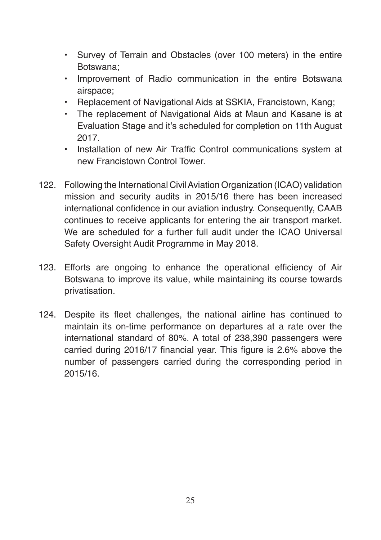- Survey of Terrain and Obstacles (over 100 meters) in the entire Botswana;
- Improvement of Radio communication in the entire Botswana airspace;
- Replacement of Navigational Aids at SSKIA, Francistown, Kang;
- The replacement of Navigational Aids at Maun and Kasane is at Evaluation Stage and it's scheduled for completion on 11th August 2017.
- Installation of new Air Traffic Control communications system at new Francistown Control Tower.
- 122. Following the International Civil Aviation Organization (ICAO) validation mission and security audits in 2015/16 there has been increased international confidence in our aviation industry. Consequently, CAAB continues to receive applicants for entering the air transport market. We are scheduled for a further full audit under the ICAO Universal Safety Oversight Audit Programme in May 2018.
- 123. Efforts are ongoing to enhance the operational efficiency of Air Botswana to improve its value, while maintaining its course towards privatisation.
- 124. Despite its fleet challenges, the national airline has continued to maintain its on-time performance on departures at a rate over the international standard of 80%. A total of 238,390 passengers were carried during 2016/17 financial year. This figure is 2.6% above the number of passengers carried during the corresponding period in 2015/16.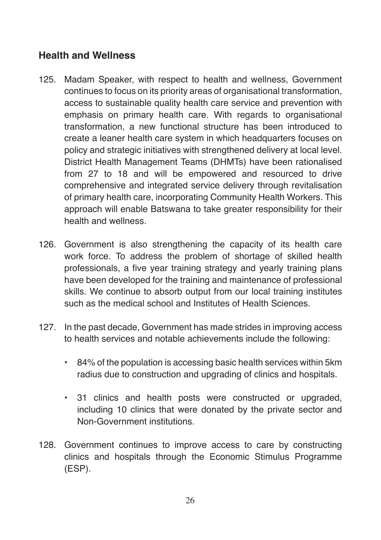#### **Health and Wellness**

- 125. Madam Speaker, with respect to health and wellness, Government continues to focus on its priority areas of organisational transformation, access to sustainable quality health care service and prevention with emphasis on primary health care. With regards to organisational transformation, a new functional structure has been introduced to create a leaner health care system in which headquarters focuses on policy and strategic initiatives with strengthened delivery at local level. District Health Management Teams (DHMTs) have been rationalised from 27 to 18 and will be empowered and resourced to drive comprehensive and integrated service delivery through revitalisation of primary health care, incorporating Community Health Workers. This approach will enable Batswana to take greater responsibility for their health and wellness.
- 126. Government is also strengthening the capacity of its health care work force. To address the problem of shortage of skilled health professionals, a five year training strategy and yearly training plans have been developed for the training and maintenance of professional skills. We continue to absorb output from our local training institutes such as the medical school and Institutes of Health Sciences.
- 127. In the past decade, Government has made strides in improving access to health services and notable achievements include the following:
	- 84% of the population is accessing basic health services within 5km radius due to construction and upgrading of clinics and hospitals.
	- 31 clinics and health posts were constructed or upgraded, including 10 clinics that were donated by the private sector and Non-Government institutions.
- 128. Government continues to improve access to care by constructing clinics and hospitals through the Economic Stimulus Programme (ESP).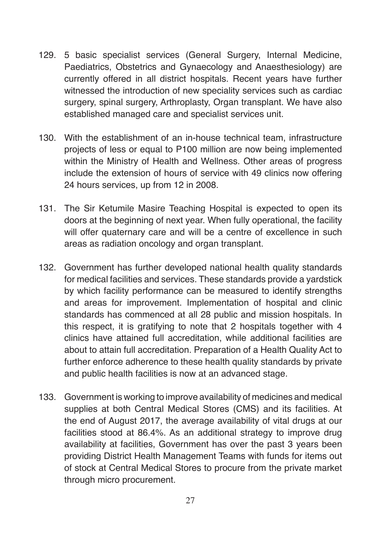- 129. 5 basic specialist services (General Surgery, Internal Medicine, Paediatrics, Obstetrics and Gynaecology and Anaesthesiology) are currently offered in all district hospitals. Recent years have further witnessed the introduction of new speciality services such as cardiac surgery, spinal surgery, Arthroplasty, Organ transplant. We have also established managed care and specialist services unit.
- 130. With the establishment of an in-house technical team, infrastructure projects of less or equal to P100 million are now being implemented within the Ministry of Health and Wellness. Other areas of progress include the extension of hours of service with 49 clinics now offering 24 hours services, up from 12 in 2008.
- 131. The Sir Ketumile Masire Teaching Hospital is expected to open its doors at the beginning of next year. When fully operational, the facility will offer quaternary care and will be a centre of excellence in such areas as radiation oncology and organ transplant.
- 132. Government has further developed national health quality standards for medical facilities and services. These standards provide a yardstick by which facility performance can be measured to identify strengths and areas for improvement. Implementation of hospital and clinic standards has commenced at all 28 public and mission hospitals. In this respect, it is gratifying to note that 2 hospitals together with 4 clinics have attained full accreditation, while additional facilities are about to attain full accreditation. Preparation of a Health Quality Act to further enforce adherence to these health quality standards by private and public health facilities is now at an advanced stage.
- 133. Government is working to improve availability of medicines and medical supplies at both Central Medical Stores (CMS) and its facilities. At the end of August 2017, the average availability of vital drugs at our facilities stood at 86.4%. As an additional strategy to improve drug availability at facilities, Government has over the past 3 years been providing District Health Management Teams with funds for items out of stock at Central Medical Stores to procure from the private market through micro procurement.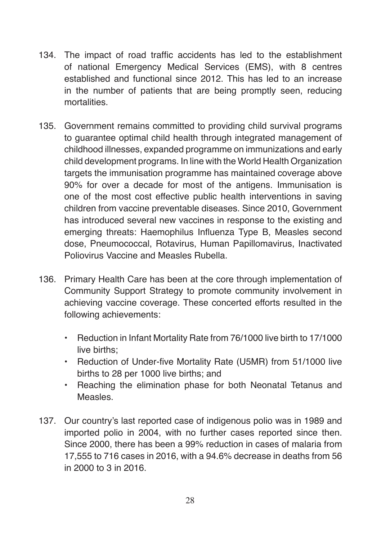- 134. The impact of road traffic accidents has led to the establishment of national Emergency Medical Services (EMS), with 8 centres established and functional since 2012. This has led to an increase in the number of patients that are being promptly seen, reducing mortalities.
- 135. Government remains committed to providing child survival programs to guarantee optimal child health through integrated management of childhood illnesses, expanded programme on immunizations and early child development programs. In line with the World Health Organization targets the immunisation programme has maintained coverage above 90% for over a decade for most of the antigens. Immunisation is one of the most cost effective public health interventions in saving children from vaccine preventable diseases. Since 2010, Government has introduced several new vaccines in response to the existing and emerging threats: Haemophilus Influenza Type B, Measles second dose, Pneumococcal, Rotavirus, Human Papillomavirus, Inactivated Poliovirus Vaccine and Measles Rubella.
- 136. Primary Health Care has been at the core through implementation of Community Support Strategy to promote community involvement in achieving vaccine coverage. These concerted efforts resulted in the following achievements:
	- Reduction in Infant Mortality Rate from 76/1000 live birth to 17/1000 live births;
	- Reduction of Under-five Mortality Rate (U5MR) from 51/1000 live births to 28 per 1000 live births; and
	- Reaching the elimination phase for both Neonatal Tetanus and Measles.
- 137. Our country's last reported case of indigenous polio was in 1989 and imported polio in 2004, with no further cases reported since then. Since 2000, there has been a 99% reduction in cases of malaria from 17,555 to 716 cases in 2016, with a 94.6% decrease in deaths from 56 in 2000 to 3 in 2016.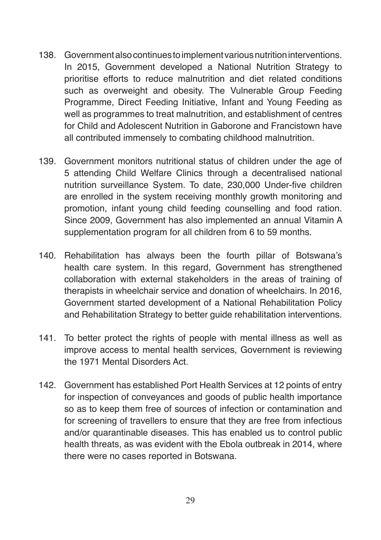- 138. Government also continues to implement various nutrition interventions. In 2015, Government developed a National Nutrition Strategy to prioritise efforts to reduce malnutrition and diet related conditions such as overweight and obesity. The Vulnerable Group Feeding Programme, Direct Feeding Initiative, Infant and Young Feeding as well as programmes to treat malnutrition, and establishment of centres for Child and Adolescent Nutrition in Gaborone and Francistown have all contributed immensely to combating childhood malnutrition.
- 139. Government monitors nutritional status of children under the age of 5 attending Child Welfare Clinics through a decentralised national nutrition surveillance System. To date, 230,000 Under-five children are enrolled in the system receiving monthly growth monitoring and promotion, infant young child feeding counselling and food ration. Since 2009, Government has also implemented an annual Vitamin A supplementation program for all children from 6 to 59 months.
- 140. Rehabilitation has always been the fourth pillar of Botswana's health care system. In this regard, Government has strengthened collaboration with external stakeholders in the areas of training of therapists in wheelchair service and donation of wheelchairs. In 2016, Government started development of a National Rehabilitation Policy and Rehabilitation Strategy to better guide rehabilitation interventions.
- 141. To better protect the rights of people with mental illness as well as improve access to mental health services, Government is reviewing the 1971 Mental Disorders Act.
- 142. Government has established Port Health Services at 12 points of entry for inspection of conveyances and goods of public health importance so as to keep them free of sources of infection or contamination and for screening of travellers to ensure that they are free from infectious and/or quarantinable diseases. This has enabled us to control public health threats, as was evident with the Ebola outbreak in 2014, where there were no cases reported in Botswana.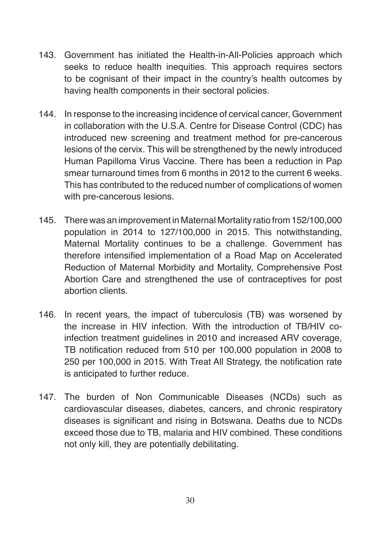- 143. Government has initiated the Health-in-All-Policies approach which seeks to reduce health inequities. This approach requires sectors to be cognisant of their impact in the country's health outcomes by having health components in their sectoral policies.
- 144. In response to the increasing incidence of cervical cancer, Government in collaboration with the U.S.A. Centre for Disease Control (CDC) has introduced new screening and treatment method for pre-cancerous lesions of the cervix. This will be strengthened by the newly introduced Human Papilloma Virus Vaccine. There has been a reduction in Pap smear turnaround times from 6 months in 2012 to the current 6 weeks. This has contributed to the reduced number of complications of women with pre-cancerous lesions.
- 145. There was an improvement in Maternal Mortality ratio from 152/100,000 population in 2014 to 127/100,000 in 2015. This notwithstanding, Maternal Mortality continues to be a challenge. Government has therefore intensified implementation of a Road Map on Accelerated Reduction of Maternal Morbidity and Mortality, Comprehensive Post Abortion Care and strengthened the use of contraceptives for post abortion clients.
- 146. In recent years, the impact of tuberculosis (TB) was worsened by the increase in HIV infection. With the introduction of TB/HIV coinfection treatment guidelines in 2010 and increased ARV coverage, TB notification reduced from 510 per 100,000 population in 2008 to 250 per 100,000 in 2015. With Treat All Strategy, the notification rate is anticipated to further reduce.
- 147. The burden of Non Communicable Diseases (NCDs) such as cardiovascular diseases, diabetes, cancers, and chronic respiratory diseases is significant and rising in Botswana. Deaths due to NCDs exceed those due to TB, malaria and HIV combined. These conditions not only kill, they are potentially debilitating.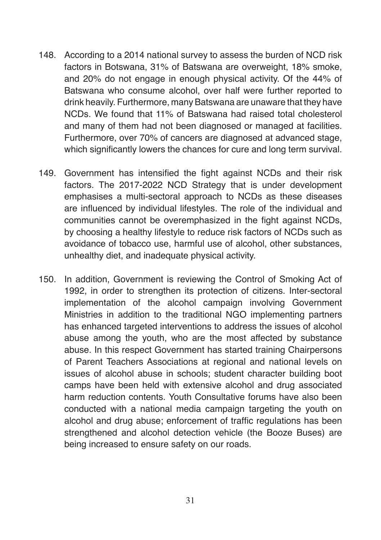- 148. According to a 2014 national survey to assess the burden of NCD risk factors in Botswana, 31% of Batswana are overweight, 18% smoke, and 20% do not engage in enough physical activity. Of the 44% of Batswana who consume alcohol, over half were further reported to drink heavily. Furthermore, many Batswana are unaware that they have NCDs. We found that 11% of Batswana had raised total cholesterol and many of them had not been diagnosed or managed at facilities. Furthermore, over 70% of cancers are diagnosed at advanced stage, which significantly lowers the chances for cure and long term survival.
- 149. Government has intensified the fight against NCDs and their risk factors. The 2017-2022 NCD Strategy that is under development emphasises a multi-sectoral approach to NCDs as these diseases are influenced by individual lifestyles. The role of the individual and communities cannot be overemphasized in the fight against NCDs, by choosing a healthy lifestyle to reduce risk factors of NCDs such as avoidance of tobacco use, harmful use of alcohol, other substances, unhealthy diet, and inadequate physical activity.
- 150. In addition, Government is reviewing the Control of Smoking Act of 1992, in order to strengthen its protection of citizens. Inter-sectoral implementation of the alcohol campaign involving Government Ministries in addition to the traditional NGO implementing partners has enhanced targeted interventions to address the issues of alcohol abuse among the youth, who are the most affected by substance abuse. In this respect Government has started training Chairpersons of Parent Teachers Associations at regional and national levels on issues of alcohol abuse in schools; student character building boot camps have been held with extensive alcohol and drug associated harm reduction contents. Youth Consultative forums have also been conducted with a national media campaign targeting the youth on alcohol and drug abuse; enforcement of traffic regulations has been strengthened and alcohol detection vehicle (the Booze Buses) are being increased to ensure safety on our roads.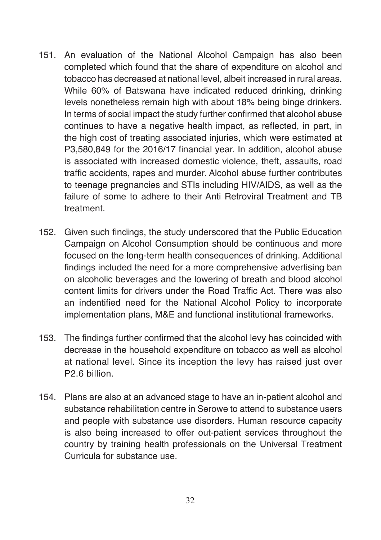- 151. An evaluation of the National Alcohol Campaign has also been completed which found that the share of expenditure on alcohol and tobacco has decreased at national level, albeit increased in rural areas. While 60% of Batswana have indicated reduced drinking, drinking levels nonetheless remain high with about 18% being binge drinkers. In terms of social impact the study further confirmed that alcohol abuse continues to have a negative health impact, as reflected, in part, in the high cost of treating associated injuries, which were estimated at P3,580,849 for the 2016/17 financial year. In addition, alcohol abuse is associated with increased domestic violence, theft, assaults, road traffic accidents, rapes and murder. Alcohol abuse further contributes to teenage pregnancies and STIs including HIV/AIDS, as well as the failure of some to adhere to their Anti Retroviral Treatment and TB treatment.
- 152. Given such findings, the study underscored that the Public Education Campaign on Alcohol Consumption should be continuous and more focused on the long-term health consequences of drinking. Additional findings included the need for a more comprehensive advertising ban on alcoholic beverages and the lowering of breath and blood alcohol content limits for drivers under the Road Traffic Act. There was also an indentified need for the National Alcohol Policy to incorporate implementation plans, M&E and functional institutional frameworks.
- 153. The findings further confirmed that the alcohol levy has coincided with decrease in the household expenditure on tobacco as well as alcohol at national level. Since its inception the levy has raised just over P2.6 billion.
- 154. Plans are also at an advanced stage to have an in-patient alcohol and substance rehabilitation centre in Serowe to attend to substance users and people with substance use disorders. Human resource capacity is also being increased to offer out-patient services throughout the country by training health professionals on the Universal Treatment Curricula for substance use.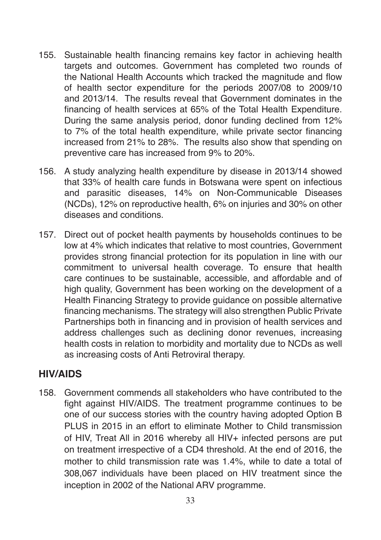- 155. Sustainable health financing remains key factor in achieving health targets and outcomes. Government has completed two rounds of the National Health Accounts which tracked the magnitude and flow of health sector expenditure for the periods 2007/08 to 2009/10 and 2013/14. The results reveal that Government dominates in the financing of health services at 65% of the Total Health Expenditure. During the same analysis period, donor funding declined from 12% to 7% of the total health expenditure, while private sector financing increased from 21% to 28%. The results also show that spending on preventive care has increased from 9% to 20%.
- 156. A study analyzing health expenditure by disease in 2013/14 showed that 33% of health care funds in Botswana were spent on infectious and parasitic diseases, 14% on Non-Communicable Diseases (NCDs), 12% on reproductive health, 6% on injuries and 30% on other diseases and conditions.
- 157. Direct out of pocket health payments by households continues to be low at 4% which indicates that relative to most countries, Government provides strong financial protection for its population in line with our commitment to universal health coverage. To ensure that health care continues to be sustainable, accessible, and affordable and of high quality, Government has been working on the development of a Health Financing Strategy to provide guidance on possible alternative financing mechanisms. The strategy will also strengthen Public Private Partnerships both in financing and in provision of health services and address challenges such as declining donor revenues, increasing health costs in relation to morbidity and mortality due to NCDs as well as increasing costs of Anti Retroviral therapy.

#### **HIV/AIDS**

158. Government commends all stakeholders who have contributed to the fight against HIV/AIDS. The treatment programme continues to be one of our success stories with the country having adopted Option B PLUS in 2015 in an effort to eliminate Mother to Child transmission of HIV, Treat All in 2016 whereby all HIV+ infected persons are put on treatment irrespective of a CD4 threshold. At the end of 2016, the mother to child transmission rate was 1.4%, while to date a total of 308,067 individuals have been placed on HIV treatment since the inception in 2002 of the National ARV programme.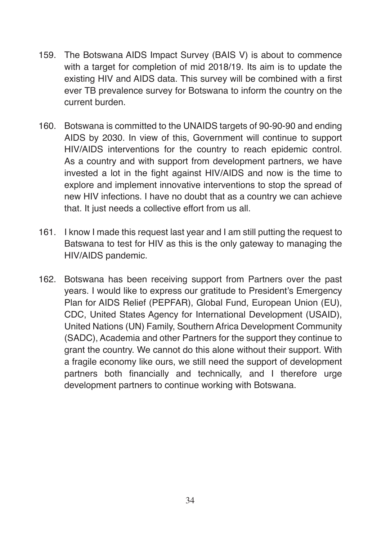- 159. The Botswana AIDS Impact Survey (BAIS V) is about to commence with a target for completion of mid 2018/19. Its aim is to update the existing HIV and AIDS data. This survey will be combined with a first ever TB prevalence survey for Botswana to inform the country on the current burden.
- 160. Botswana is committed to the UNAIDS targets of 90-90-90 and ending AIDS by 2030. In view of this, Government will continue to support HIV/AIDS interventions for the country to reach epidemic control. As a country and with support from development partners, we have invested a lot in the fight against HIV/AIDS and now is the time to explore and implement innovative interventions to stop the spread of new HIV infections. I have no doubt that as a country we can achieve that. It just needs a collective effort from us all.
- 161. I know I made this request last year and I am still putting the request to Batswana to test for HIV as this is the only gateway to managing the HIV/AIDS pandemic.
- 162. Botswana has been receiving support from Partners over the past years. I would like to express our gratitude to President's Emergency Plan for AIDS Relief (PEPFAR), Global Fund, European Union (EU), CDC, United States Agency for International Development (USAID), United Nations (UN) Family, Southern Africa Development Community (SADC), Academia and other Partners for the support they continue to grant the country. We cannot do this alone without their support. With a fragile economy like ours, we still need the support of development partners both financially and technically, and I therefore urge development partners to continue working with Botswana.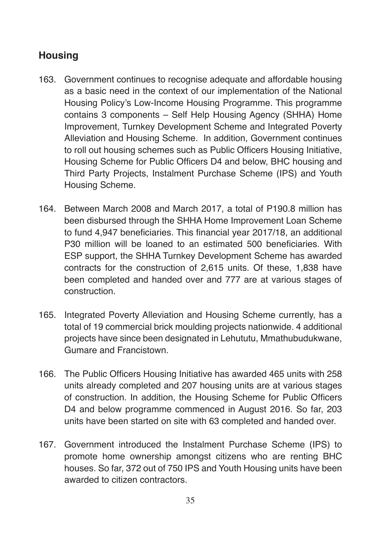# **Housing**

- 163. Government continues to recognise adequate and affordable housing as a basic need in the context of our implementation of the National Housing Policy's Low-Income Housing Programme. This programme contains 3 components – Self Help Housing Agency (SHHA) Home Improvement, Turnkey Development Scheme and Integrated Poverty Alleviation and Housing Scheme. In addition, Government continues to roll out housing schemes such as Public Officers Housing Initiative, Housing Scheme for Public Officers D4 and below, BHC housing and Third Party Projects, Instalment Purchase Scheme (IPS) and Youth Housing Scheme.
- 164. Between March 2008 and March 2017, a total of P190.8 million has been disbursed through the SHHA Home Improvement Loan Scheme to fund 4,947 beneficiaries. This financial year 2017/18, an additional P30 million will be loaned to an estimated 500 beneficiaries. With ESP support, the SHHA Turnkey Development Scheme has awarded contracts for the construction of 2,615 units. Of these, 1,838 have been completed and handed over and 777 are at various stages of construction.
- 165. Integrated Poverty Alleviation and Housing Scheme currently, has a total of 19 commercial brick moulding projects nationwide. 4 additional projects have since been designated in Lehututu, Mmathubudukwane, Gumare and Francistown.
- 166. The Public Officers Housing Initiative has awarded 465 units with 258 units already completed and 207 housing units are at various stages of construction. In addition, the Housing Scheme for Public Officers D4 and below programme commenced in August 2016. So far, 203 units have been started on site with 63 completed and handed over.
- 167. Government introduced the Instalment Purchase Scheme (IPS) to promote home ownership amongst citizens who are renting BHC houses. So far, 372 out of 750 IPS and Youth Housing units have been awarded to citizen contractors.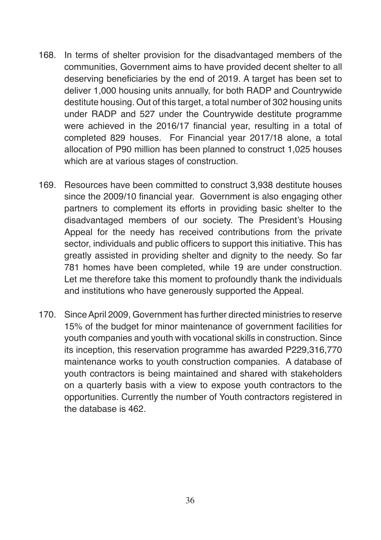- 168. In terms of shelter provision for the disadvantaged members of the communities, Government aims to have provided decent shelter to all deserving beneficiaries by the end of 2019. A target has been set to deliver 1,000 housing units annually, for both RADP and Countrywide destitute housing. Out of this target, a total number of 302 housing units under RADP and 527 under the Countrywide destitute programme were achieved in the 2016/17 financial year, resulting in a total of completed 829 houses. For Financial year 2017/18 alone, a total allocation of P90 million has been planned to construct 1,025 houses which are at various stages of construction.
- 169. Resources have been committed to construct 3,938 destitute houses since the 2009/10 financial year. Government is also engaging other partners to complement its efforts in providing basic shelter to the disadvantaged members of our society. The President's Housing Appeal for the needy has received contributions from the private sector, individuals and public officers to support this initiative. This has greatly assisted in providing shelter and dignity to the needy. So far 781 homes have been completed, while 19 are under construction. Let me therefore take this moment to profoundly thank the individuals and institutions who have generously supported the Appeal.
- 170. Since April 2009, Government has further directed ministries to reserve 15% of the budget for minor maintenance of government facilities for youth companies and youth with vocational skills in construction. Since its inception, this reservation programme has awarded P229,316,770 maintenance works to youth construction companies. A database of youth contractors is being maintained and shared with stakeholders on a quarterly basis with a view to expose youth contractors to the opportunities. Currently the number of Youth contractors registered in the database is 462.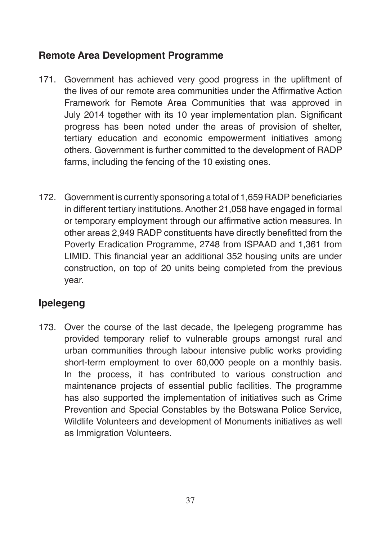### **Remote Area Development Programme**

- 171. Government has achieved very good progress in the upliftment of the lives of our remote area communities under the Affirmative Action Framework for Remote Area Communities that was approved in July 2014 together with its 10 year implementation plan. Significant progress has been noted under the areas of provision of shelter, tertiary education and economic empowerment initiatives among others. Government is further committed to the development of RADP farms, including the fencing of the 10 existing ones.
- 172. Government is currently sponsoring a total of 1,659 RADP beneficiaries in different tertiary institutions. Another 21,058 have engaged in formal or temporary employment through our affirmative action measures. In other areas 2,949 RADP constituents have directly benefitted from the Poverty Eradication Programme, 2748 from ISPAAD and 1,361 from LIMID. This financial year an additional 352 housing units are under construction, on top of 20 units being completed from the previous year.

# **Ipelegeng**

173. Over the course of the last decade, the Ipelegeng programme has provided temporary relief to vulnerable groups amongst rural and urban communities through labour intensive public works providing short-term employment to over 60,000 people on a monthly basis. In the process, it has contributed to various construction and maintenance projects of essential public facilities. The programme has also supported the implementation of initiatives such as Crime Prevention and Special Constables by the Botswana Police Service, Wildlife Volunteers and development of Monuments initiatives as well as Immigration Volunteers.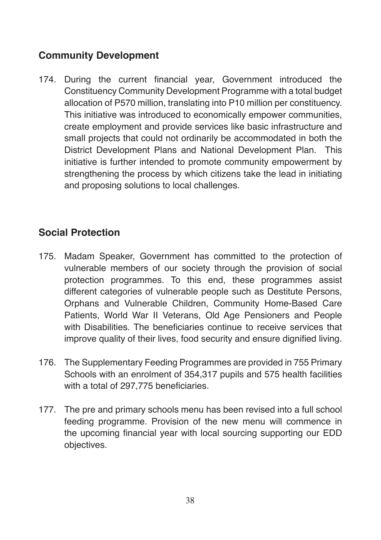# **Community Development**

174. During the current financial year, Government introduced the Constituency Community Development Programme with a total budget allocation of P570 million, translating into P10 million per constituency. This initiative was introduced to economically empower communities, create employment and provide services like basic infrastructure and small projects that could not ordinarily be accommodated in both the District Development Plans and National Development Plan. This initiative is further intended to promote community empowerment by strengthening the process by which citizens take the lead in initiating and proposing solutions to local challenges.

## **Social Protection**

- 175. Madam Speaker, Government has committed to the protection of vulnerable members of our society through the provision of social protection programmes. To this end, these programmes assist different categories of vulnerable people such as Destitute Persons, Orphans and Vulnerable Children, Community Home-Based Care Patients, World War II Veterans, Old Age Pensioners and People with Disabilities. The beneficiaries continue to receive services that improve quality of their lives, food security and ensure dignified living.
- 176. The Supplementary Feeding Programmes are provided in 755 Primary Schools with an enrolment of 354,317 pupils and 575 health facilities with a total of 297,775 beneficiaries.
- 177. The pre and primary schools menu has been revised into a full school feeding programme. Provision of the new menu will commence in the upcoming financial year with local sourcing supporting our EDD objectives.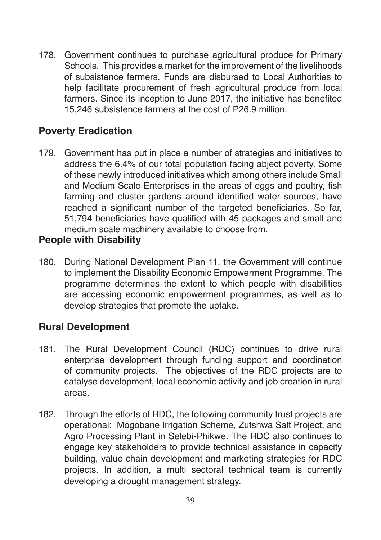178. Government continues to purchase agricultural produce for Primary Schools. This provides a market for the improvement of the livelihoods of subsistence farmers. Funds are disbursed to Local Authorities to help facilitate procurement of fresh agricultural produce from local farmers. Since its inception to June 2017, the initiative has benefited 15,246 subsistence farmers at the cost of P26.9 million.

### **Poverty Eradication**

179. Government has put in place a number of strategies and initiatives to address the 6.4% of our total population facing abject poverty. Some of these newly introduced initiatives which among others include Small and Medium Scale Enterprises in the areas of eggs and poultry, fish farming and cluster gardens around identified water sources, have reached a significant number of the targeted beneficiaries. So far, 51,794 beneficiaries have qualified with 45 packages and small and medium scale machinery available to choose from.

#### **People with Disability**

180. During National Development Plan 11, the Government will continue to implement the Disability Economic Empowerment Programme. The programme determines the extent to which people with disabilities are accessing economic empowerment programmes, as well as to develop strategies that promote the uptake.

#### **Rural Development**

- 181. The Rural Development Council (RDC) continues to drive rural enterprise development through funding support and coordination of community projects. The objectives of the RDC projects are to catalyse development, local economic activity and job creation in rural areas.
- 182. Through the efforts of RDC, the following community trust projects are operational: Mogobane Irrigation Scheme, Zutshwa Salt Project, and Agro Processing Plant in Selebi-Phikwe. The RDC also continues to engage key stakeholders to provide technical assistance in capacity building, value chain development and marketing strategies for RDC projects. In addition, a multi sectoral technical team is currently developing a drought management strategy.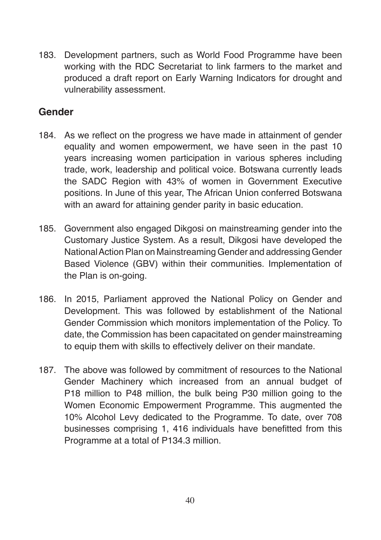183. Development partners, such as World Food Programme have been working with the RDC Secretariat to link farmers to the market and produced a draft report on Early Warning Indicators for drought and vulnerability assessment.

## **Gender**

- 184. As we reflect on the progress we have made in attainment of gender equality and women empowerment, we have seen in the past 10 years increasing women participation in various spheres including trade, work, leadership and political voice. Botswana currently leads the SADC Region with 43% of women in Government Executive positions. In June of this year, The African Union conferred Botswana with an award for attaining gender parity in basic education.
- 185. Government also engaged Dikgosi on mainstreaming gender into the Customary Justice System. As a result, Dikgosi have developed the National Action Plan on Mainstreaming Gender and addressing Gender Based Violence (GBV) within their communities. Implementation of the Plan is on-going.
- 186. In 2015, Parliament approved the National Policy on Gender and Development. This was followed by establishment of the National Gender Commission which monitors implementation of the Policy. To date, the Commission has been capacitated on gender mainstreaming to equip them with skills to effectively deliver on their mandate.
- 187. The above was followed by commitment of resources to the National Gender Machinery which increased from an annual budget of P18 million to P48 million, the bulk being P30 million going to the Women Economic Empowerment Programme. This augmented the 10% Alcohol Levy dedicated to the Programme. To date, over 708 businesses comprising 1, 416 individuals have benefitted from this Programme at a total of P134.3 million.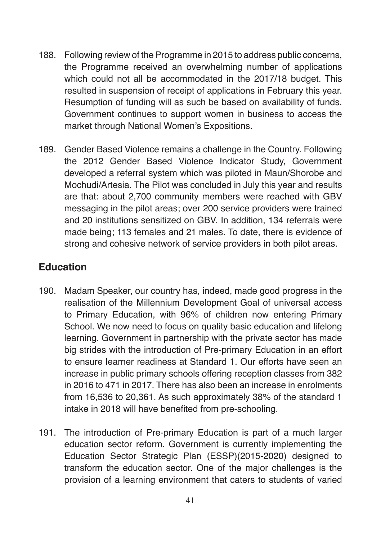- 188. Following review of the Programme in 2015 to address public concerns, the Programme received an overwhelming number of applications which could not all be accommodated in the 2017/18 budget. This resulted in suspension of receipt of applications in February this year. Resumption of funding will as such be based on availability of funds. Government continues to support women in business to access the market through National Women's Expositions.
- 189. Gender Based Violence remains a challenge in the Country. Following the 2012 Gender Based Violence Indicator Study, Government developed a referral system which was piloted in Maun/Shorobe and Mochudi/Artesia. The Pilot was concluded in July this year and results are that: about 2,700 community members were reached with GBV messaging in the pilot areas; over 200 service providers were trained and 20 institutions sensitized on GBV. In addition, 134 referrals were made being; 113 females and 21 males. To date, there is evidence of strong and cohesive network of service providers in both pilot areas.

# **Education**

- 190. Madam Speaker, our country has, indeed, made good progress in the realisation of the Millennium Development Goal of universal access to Primary Education, with 96% of children now entering Primary School. We now need to focus on quality basic education and lifelong learning. Government in partnership with the private sector has made big strides with the introduction of Pre-primary Education in an effort to ensure learner readiness at Standard 1. Our efforts have seen an increase in public primary schools offering reception classes from 382 in 2016 to 471 in 2017. There has also been an increase in enrolments from 16,536 to 20,361. As such approximately 38% of the standard 1 intake in 2018 will have benefited from pre-schooling.
- 191. The introduction of Pre-primary Education is part of a much larger education sector reform. Government is currently implementing the Education Sector Strategic Plan (ESSP)(2015-2020) designed to transform the education sector. One of the major challenges is the provision of a learning environment that caters to students of varied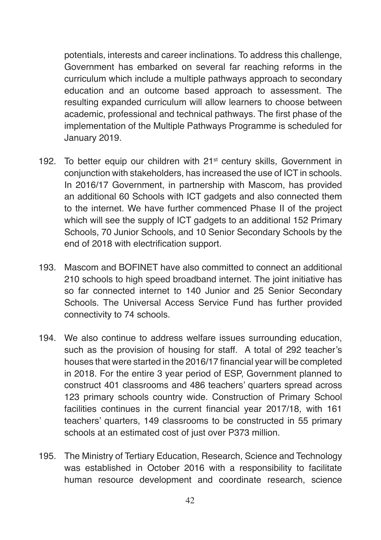potentials, interests and career inclinations. To address this challenge, Government has embarked on several far reaching reforms in the curriculum which include a multiple pathways approach to secondary education and an outcome based approach to assessment. The resulting expanded curriculum will allow learners to choose between academic, professional and technical pathways. The first phase of the implementation of the Multiple Pathways Programme is scheduled for January 2019.

- 192. To better equip our children with 21<sup>st</sup> century skills, Government in conjunction with stakeholders, has increased the use of ICT in schools. In 2016/17 Government, in partnership with Mascom, has provided an additional 60 Schools with ICT gadgets and also connected them to the internet. We have further commenced Phase II of the project which will see the supply of ICT gadgets to an additional 152 Primary Schools, 70 Junior Schools, and 10 Senior Secondary Schools by the end of 2018 with electrification support.
- 193. Mascom and BOFINET have also committed to connect an additional 210 schools to high speed broadband internet. The joint initiative has so far connected internet to 140 Junior and 25 Senior Secondary Schools. The Universal Access Service Fund has further provided connectivity to 74 schools.
- 194. We also continue to address welfare issues surrounding education, such as the provision of housing for staff. A total of 292 teacher's houses that were started in the 2016/17 financial year will be completed in 2018. For the entire 3 year period of ESP, Government planned to construct 401 classrooms and 486 teachers' quarters spread across 123 primary schools country wide. Construction of Primary School facilities continues in the current financial year 2017/18, with 161 teachers' quarters, 149 classrooms to be constructed in 55 primary schools at an estimated cost of just over P373 million.
- 195. The Ministry of Tertiary Education, Research, Science and Technology was established in October 2016 with a responsibility to facilitate human resource development and coordinate research, science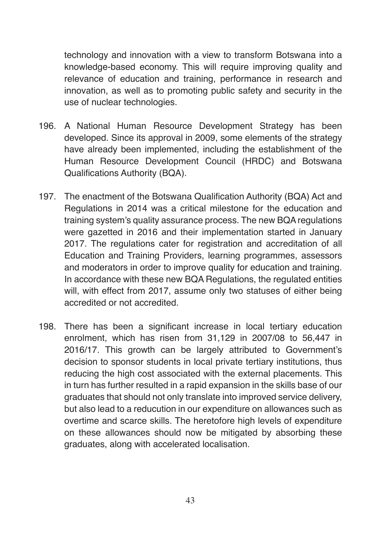technology and innovation with a view to transform Botswana into a knowledge-based economy. This will require improving quality and relevance of education and training, performance in research and innovation, as well as to promoting public safety and security in the use of nuclear technologies.

- 196. A National Human Resource Development Strategy has been developed. Since its approval in 2009, some elements of the strategy have already been implemented, including the establishment of the Human Resource Development Council (HRDC) and Botswana Qualifications Authority (BQA).
- 197. The enactment of the Botswana Qualification Authority (BQA) Act and Regulations in 2014 was a critical milestone for the education and training system's quality assurance process. The new BQA regulations were gazetted in 2016 and their implementation started in January 2017. The regulations cater for registration and accreditation of all Education and Training Providers, learning programmes, assessors and moderators in order to improve quality for education and training. In accordance with these new BQA Regulations, the regulated entities will, with effect from 2017, assume only two statuses of either being accredited or not accredited.
- 198. There has been a significant increase in local tertiary education enrolment, which has risen from 31,129 in 2007/08 to 56,447 in 2016/17. This growth can be largely attributed to Government's decision to sponsor students in local private tertiary institutions, thus reducing the high cost associated with the external placements. This in turn has further resulted in a rapid expansion in the skills base of our graduates that should not only translate into improved service delivery, but also lead to a reducution in our expenditure on allowances such as overtime and scarce skills. The heretofore high levels of expenditure on these allowances should now be mitigated by absorbing these graduates, along with accelerated localisation.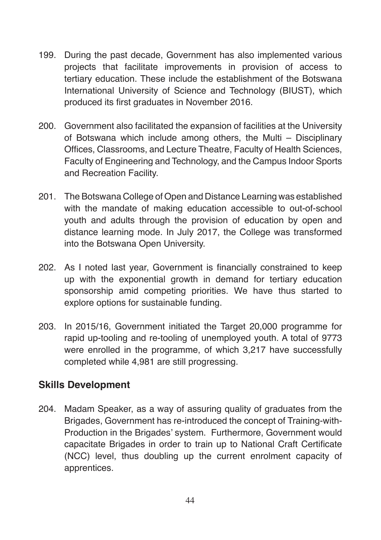- 199. During the past decade, Government has also implemented various projects that facilitate improvements in provision of access to tertiary education. These include the establishment of the Botswana International University of Science and Technology (BIUST), which produced its first graduates in November 2016.
- 200. Government also facilitated the expansion of facilities at the University of Botswana which include among others, the Multi – Disciplinary Offices, Classrooms, and Lecture Theatre, Faculty of Health Sciences, Faculty of Engineering and Technology, and the Campus Indoor Sports and Recreation Facility.
- 201. The Botswana College of Open and Distance Learning was established with the mandate of making education accessible to out-of-school youth and adults through the provision of education by open and distance learning mode. In July 2017, the College was transformed into the Botswana Open University.
- 202. As I noted last year, Government is financially constrained to keep up with the exponential growth in demand for tertiary education sponsorship amid competing priorities. We have thus started to explore options for sustainable funding.
- 203. In 2015/16, Government initiated the Target 20,000 programme for rapid up-tooling and re-tooling of unemployed youth. A total of 9773 were enrolled in the programme, of which 3,217 have successfully completed while 4,981 are still progressing.

### **Skills Development**

204. Madam Speaker, as a way of assuring quality of graduates from the Brigades, Government has re-introduced the concept of Training-with-Production in the Brigades' system. Furthermore, Government would capacitate Brigades in order to train up to National Craft Certificate (NCC) level, thus doubling up the current enrolment capacity of apprentices.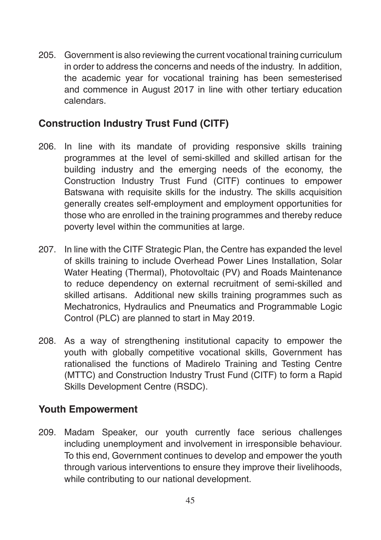205. Government is also reviewing the current vocational training curriculum in order to address the concerns and needs of the industry. In addition, the academic year for vocational training has been semesterised and commence in August 2017 in line with other tertiary education calendars.

## **Construction Industry Trust Fund (CITF)**

- 206. In line with its mandate of providing responsive skills training programmes at the level of semi-skilled and skilled artisan for the building industry and the emerging needs of the economy, the Construction Industry Trust Fund (CITF) continues to empower Batswana with requisite skills for the industry. The skills acquisition generally creates self-employment and employment opportunities for those who are enrolled in the training programmes and thereby reduce poverty level within the communities at large.
- 207. In line with the CITF Strategic Plan, the Centre has expanded the level of skills training to include Overhead Power Lines Installation, Solar Water Heating (Thermal), Photovoltaic (PV) and Roads Maintenance to reduce dependency on external recruitment of semi-skilled and skilled artisans. Additional new skills training programmes such as Mechatronics, Hydraulics and Pneumatics and Programmable Logic Control (PLC) are planned to start in May 2019.
- 208. As a way of strengthening institutional capacity to empower the youth with globally competitive vocational skills, Government has rationalised the functions of Madirelo Training and Testing Centre (MTTC) and Construction Industry Trust Fund (CITF) to form a Rapid Skills Development Centre (RSDC).

### **Youth Empowerment**

209. Madam Speaker, our youth currently face serious challenges including unemployment and involvement in irresponsible behaviour. To this end, Government continues to develop and empower the youth through various interventions to ensure they improve their livelihoods, while contributing to our national development.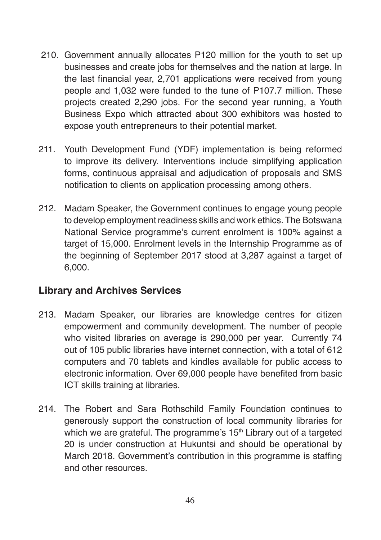- 210. Government annually allocates P120 million for the youth to set up businesses and create jobs for themselves and the nation at large. In the last financial year, 2,701 applications were received from young people and 1,032 were funded to the tune of P107.7 million. These projects created 2,290 jobs. For the second year running, a Youth Business Expo which attracted about 300 exhibitors was hosted to expose youth entrepreneurs to their potential market.
- 211. Youth Development Fund (YDF) implementation is being reformed to improve its delivery. Interventions include simplifying application forms, continuous appraisal and adjudication of proposals and SMS notification to clients on application processing among others.
- 212. Madam Speaker, the Government continues to engage young people to develop employment readiness skills and work ethics. The Botswana National Service programme's current enrolment is 100% against a target of 15,000. Enrolment levels in the Internship Programme as of the beginning of September 2017 stood at 3,287 against a target of 6,000.

### **Library and Archives Services**

- 213. Madam Speaker, our libraries are knowledge centres for citizen empowerment and community development. The number of people who visited libraries on average is 290,000 per year. Currently 74 out of 105 public libraries have internet connection, with a total of 612 computers and 70 tablets and kindles available for public access to electronic information. Over 69,000 people have benefited from basic ICT skills training at libraries.
- 214. The Robert and Sara Rothschild Family Foundation continues to generously support the construction of local community libraries for which we are grateful. The programme's 15<sup>th</sup> Library out of a targeted 20 is under construction at Hukuntsi and should be operational by March 2018. Government's contribution in this programme is staffing and other resources.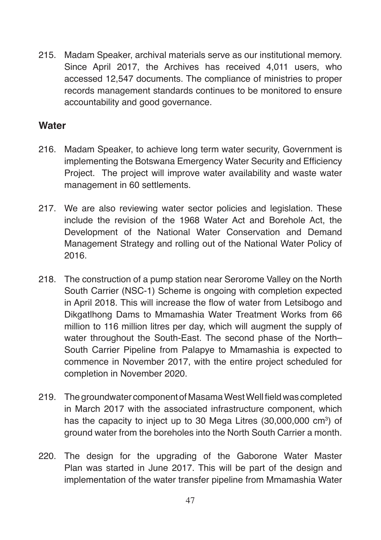215. Madam Speaker, archival materials serve as our institutional memory. Since April 2017, the Archives has received 4,011 users, who accessed 12,547 documents. The compliance of ministries to proper records management standards continues to be monitored to ensure accountability and good governance.

### **Water**

- 216. Madam Speaker, to achieve long term water security, Government is implementing the Botswana Emergency Water Security and Efficiency Project. The project will improve water availability and waste water management in 60 settlements.
- 217. We are also reviewing water sector policies and legislation. These include the revision of the 1968 Water Act and Borehole Act, the Development of the National Water Conservation and Demand Management Strategy and rolling out of the National Water Policy of 2016.
- 218. The construction of a pump station near Serorome Valley on the North South Carrier (NSC-1) Scheme is ongoing with completion expected in April 2018. This will increase the flow of water from Letsibogo and Dikgatlhong Dams to Mmamashia Water Treatment Works from 66 million to 116 million litres per day, which will augment the supply of water throughout the South-East. The second phase of the North– South Carrier Pipeline from Palapye to Mmamashia is expected to commence in November 2017, with the entire project scheduled for completion in November 2020.
- 219. The groundwater component of Masama West Well field was completed in March 2017 with the associated infrastructure component, which has the capacity to inject up to 30 Mega Litres (30,000,000 cm<sup>3</sup>) of ground water from the boreholes into the North South Carrier a month.
- 220. The design for the upgrading of the Gaborone Water Master Plan was started in June 2017. This will be part of the design and implementation of the water transfer pipeline from Mmamashia Water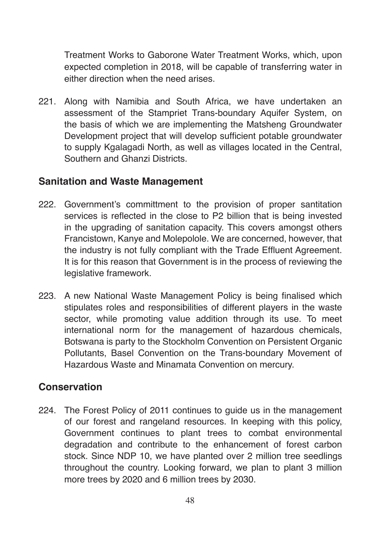Treatment Works to Gaborone Water Treatment Works, which, upon expected completion in 2018, will be capable of transferring water in either direction when the need arises.

221. Along with Namibia and South Africa, we have undertaken an assessment of the Stampriet Trans-boundary Aquifer System, on the basis of which we are implementing the Matsheng Groundwater Development project that will develop sufficient potable groundwater to supply Kgalagadi North, as well as villages located in the Central, Southern and Ghanzi Districts.

#### **Sanitation and Waste Management**

- 222. Government's committment to the provision of proper santitation services is reflected in the close to P2 billion that is being invested in the upgrading of sanitation capacity. This covers amongst others Francistown, Kanye and Molepolole. We are concerned, however, that the industry is not fully compliant with the Trade Effluent Agreement. It is for this reason that Government is in the process of reviewing the legislative framework.
- 223. A new National Waste Management Policy is being finalised which stipulates roles and responsibilities of different players in the waste sector, while promoting value addition through its use. To meet international norm for the management of hazardous chemicals, Botswana is party to the Stockholm Convention on Persistent Organic Pollutants, Basel Convention on the Trans-boundary Movement of Hazardous Waste and Minamata Convention on mercury.

#### **Conservation**

224. The Forest Policy of 2011 continues to guide us in the management of our forest and rangeland resources. In keeping with this policy, Government continues to plant trees to combat environmental degradation and contribute to the enhancement of forest carbon stock. Since NDP 10, we have planted over 2 million tree seedlings throughout the country. Looking forward, we plan to plant 3 million more trees by 2020 and 6 million trees by 2030.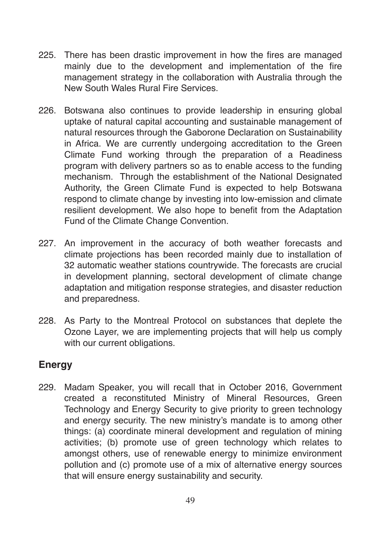- 225. There has been drastic improvement in how the fires are managed mainly due to the development and implementation of the fire management strategy in the collaboration with Australia through the New South Wales Rural Fire Services.
- 226. Botswana also continues to provide leadership in ensuring global uptake of natural capital accounting and sustainable management of natural resources through the Gaborone Declaration on Sustainability in Africa. We are currently undergoing accreditation to the Green Climate Fund working through the preparation of a Readiness program with delivery partners so as to enable access to the funding mechanism. Through the establishment of the National Designated Authority, the Green Climate Fund is expected to help Botswana respond to climate change by investing into low-emission and climate resilient development. We also hope to benefit from the Adaptation Fund of the Climate Change Convention.
- 227. An improvement in the accuracy of both weather forecasts and climate projections has been recorded mainly due to installation of 32 automatic weather stations countrywide. The forecasts are crucial in development planning, sectoral development of climate change adaptation and mitigation response strategies, and disaster reduction and preparedness.
- 228. As Party to the Montreal Protocol on substances that deplete the Ozone Layer, we are implementing projects that will help us comply with our current obligations.

### **Energy**

229. Madam Speaker, you will recall that in October 2016, Government created a reconstituted Ministry of Mineral Resources, Green Technology and Energy Security to give priority to green technology and energy security. The new ministry's mandate is to among other things: (a) coordinate mineral development and regulation of mining activities; (b) promote use of green technology which relates to amongst others, use of renewable energy to minimize environment pollution and (c) promote use of a mix of alternative energy sources that will ensure energy sustainability and security.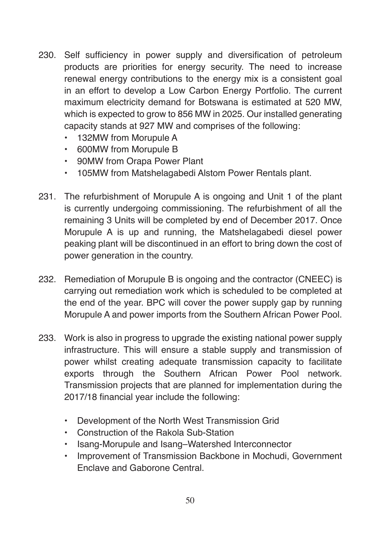- 230. Self sufficiency in power supply and diversification of petroleum products are priorities for energy security. The need to increase renewal energy contributions to the energy mix is a consistent goal in an effort to develop a Low Carbon Energy Portfolio. The current maximum electricity demand for Botswana is estimated at 520 MW, which is expected to grow to 856 MW in 2025. Our installed generating capacity stands at 927 MW and comprises of the following:
	- 132MW from Morupule A
	- 600MW from Morupule B
	- 90MW from Orapa Power Plant
	- 105MW from Matshelagabedi Alstom Power Rentals plant.
- 231. The refurbishment of Morupule A is ongoing and Unit 1 of the plant is currently undergoing commissioning. The refurbishment of all the remaining 3 Units will be completed by end of December 2017. Once Morupule A is up and running, the Matshelagabedi diesel power peaking plant will be discontinued in an effort to bring down the cost of power generation in the country.
- 232. Remediation of Morupule B is ongoing and the contractor (CNEEC) is carrying out remediation work which is scheduled to be completed at the end of the year. BPC will cover the power supply gap by running Morupule A and power imports from the Southern African Power Pool.
- 233. Work is also in progress to upgrade the existing national power supply infrastructure. This will ensure a stable supply and transmission of power whilst creating adequate transmission capacity to facilitate exports through the Southern African Power Pool network. Transmission projects that are planned for implementation during the 2017/18 financial year include the following:
	- Development of the North West Transmission Grid
	- Construction of the Rakola Sub-Station
	- Isang-Morupule and Isang–Watershed Interconnector
	- Improvement of Transmission Backbone in Mochudi, Government Enclave and Gaborone Central.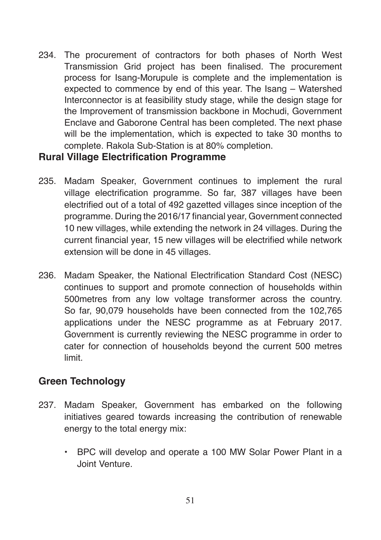234. The procurement of contractors for both phases of North West Transmission Grid project has been finalised. The procurement process for Isang-Morupule is complete and the implementation is expected to commence by end of this year. The Isang – Watershed Interconnector is at feasibility study stage, while the design stage for the Improvement of transmission backbone in Mochudi, Government Enclave and Gaborone Central has been completed. The next phase will be the implementation, which is expected to take 30 months to complete. Rakola Sub-Station is at 80% completion.

#### **Rural Village Electrification Programme**

- 235. Madam Speaker, Government continues to implement the rural village electrification programme. So far, 387 villages have been electrified out of a total of 492 gazetted villages since inception of the programme. During the 2016/17 financial year, Government connected 10 new villages, while extending the network in 24 villages. During the current financial year, 15 new villages will be electrified while network extension will be done in 45 villages.
- 236. Madam Speaker, the National Electrification Standard Cost (NESC) continues to support and promote connection of households within 500metres from any low voltage transformer across the country. So far, 90,079 households have been connected from the 102,765 applications under the NESC programme as at February 2017. Government is currently reviewing the NESC programme in order to cater for connection of households beyond the current 500 metres limit.

### **Green Technology**

- 237. Madam Speaker, Government has embarked on the following initiatives geared towards increasing the contribution of renewable energy to the total energy mix:
	- BPC will develop and operate a 100 MW Solar Power Plant in a Joint Venture.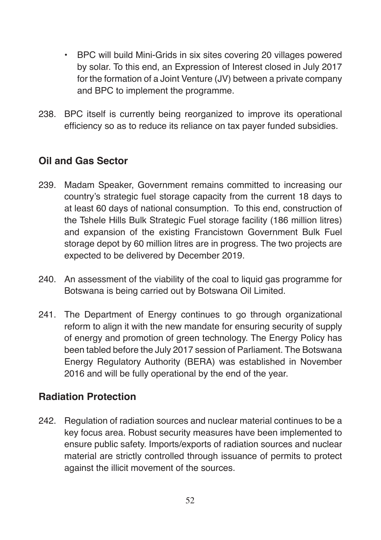- BPC will build Mini-Grids in six sites covering 20 villages powered by solar. To this end, an Expression of Interest closed in July 2017 for the formation of a Joint Venture (JV) between a private company and BPC to implement the programme.
- 238. BPC itself is currently being reorganized to improve its operational efficiency so as to reduce its reliance on tax payer funded subsidies.

# **Oil and Gas Sector**

- 239. Madam Speaker, Government remains committed to increasing our country's strategic fuel storage capacity from the current 18 days to at least 60 days of national consumption. To this end, construction of the Tshele Hills Bulk Strategic Fuel storage facility (186 million litres) and expansion of the existing Francistown Government Bulk Fuel storage depot by 60 million litres are in progress. The two projects are expected to be delivered by December 2019.
- 240. An assessment of the viability of the coal to liquid gas programme for Botswana is being carried out by Botswana Oil Limited.
- 241. The Department of Energy continues to go through organizational reform to align it with the new mandate for ensuring security of supply of energy and promotion of green technology. The Energy Policy has been tabled before the July 2017 session of Parliament. The Botswana Energy Regulatory Authority (BERA) was established in November 2016 and will be fully operational by the end of the year.

## **Radiation Protection**

242. Regulation of radiation sources and nuclear material continues to be a key focus area. Robust security measures have been implemented to ensure public safety. Imports/exports of radiation sources and nuclear material are strictly controlled through issuance of permits to protect against the illicit movement of the sources.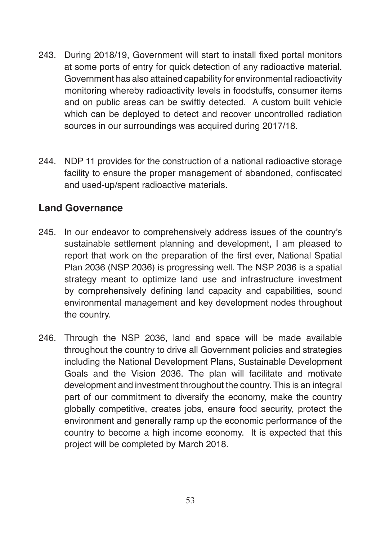- 243. During 2018/19, Government will start to install fixed portal monitors at some ports of entry for quick detection of any radioactive material. Government has also attained capability for environmental radioactivity monitoring whereby radioactivity levels in foodstuffs, consumer items and on public areas can be swiftly detected. A custom built vehicle which can be deployed to detect and recover uncontrolled radiation sources in our surroundings was acquired during 2017/18.
- 244. NDP 11 provides for the construction of a national radioactive storage facility to ensure the proper management of abandoned, confiscated and used-up/spent radioactive materials.

### **Land Governance**

- 245. In our endeavor to comprehensively address issues of the country's sustainable settlement planning and development, I am pleased to report that work on the preparation of the first ever, National Spatial Plan 2036 (NSP 2036) is progressing well. The NSP 2036 is a spatial strategy meant to optimize land use and infrastructure investment by comprehensively defining land capacity and capabilities, sound environmental management and key development nodes throughout the country.
- 246. Through the NSP 2036, land and space will be made available throughout the country to drive all Government policies and strategies including the National Development Plans, Sustainable Development Goals and the Vision 2036. The plan will facilitate and motivate development and investment throughout the country. This is an integral part of our commitment to diversify the economy, make the country globally competitive, creates jobs, ensure food security, protect the environment and generally ramp up the economic performance of the country to become a high income economy. It is expected that this project will be completed by March 2018.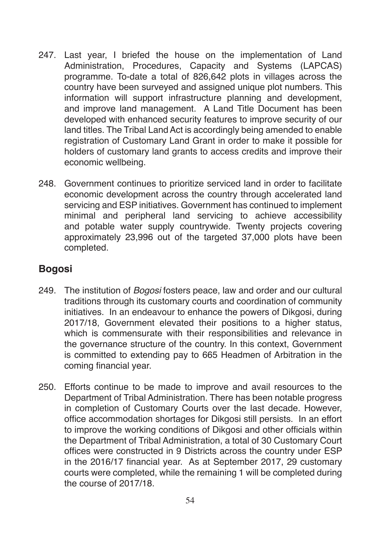- 247. Last year, I briefed the house on the implementation of Land Administration, Procedures, Capacity and Systems (LAPCAS) programme. To-date a total of 826,642 plots in villages across the country have been surveyed and assigned unique plot numbers. This information will support infrastructure planning and development, and improve land management. A Land Title Document has been developed with enhanced security features to improve security of our land titles. The Tribal Land Act is accordingly being amended to enable registration of Customary Land Grant in order to make it possible for holders of customary land grants to access credits and improve their economic wellbeing.
- 248. Government continues to prioritize serviced land in order to facilitate economic development across the country through accelerated land servicing and ESP initiatives. Government has continued to implement minimal and peripheral land servicing to achieve accessibility and potable water supply countrywide. Twenty projects covering approximately 23,996 out of the targeted 37,000 plots have been completed.

### **Bogosi**

- 249. The institution of *Bogosi* fosters peace, law and order and our cultural traditions through its customary courts and coordination of community initiatives. In an endeavour to enhance the powers of Dikgosi, during 2017/18, Government elevated their positions to a higher status, which is commensurate with their responsibilities and relevance in the governance structure of the country. In this context, Government is committed to extending pay to 665 Headmen of Arbitration in the coming financial year.
- 250. Efforts continue to be made to improve and avail resources to the Department of Tribal Administration. There has been notable progress in completion of Customary Courts over the last decade. However, office accommodation shortages for Dikgosi still persists. In an effort to improve the working conditions of Dikgosi and other officials within the Department of Tribal Administration, a total of 30 Customary Court offices were constructed in 9 Districts across the country under ESP in the 2016/17 financial year. As at September 2017, 29 customary courts were completed, while the remaining 1 will be completed during the course of 2017/18.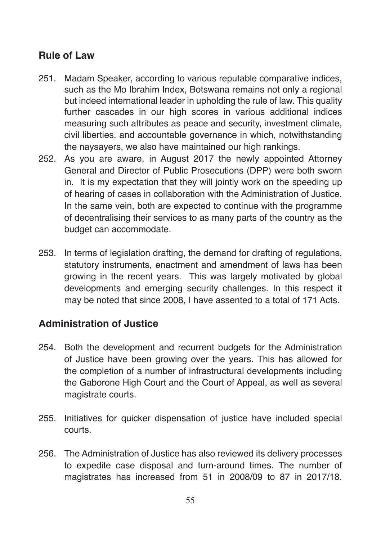## **Rule of Law**

- 251. Madam Speaker, according to various reputable comparative indices, such as the Mo Ibrahim Index, Botswana remains not only a regional but indeed international leader in upholding the rule of law. This quality further cascades in our high scores in various additional indices measuring such attributes as peace and security, investment climate, civil liberties, and accountable governance in which, notwithstanding the naysayers, we also have maintained our high rankings.
- 252. As you are aware, in August 2017 the newly appointed Attorney General and Director of Public Prosecutions (DPP) were both sworn in. It is my expectation that they will jointly work on the speeding up of hearing of cases in collaboration with the Administration of Justice. In the same vein, both are expected to continue with the programme of decentralising their services to as many parts of the country as the budget can accommodate.
- 253. In terms of legislation drafting, the demand for drafting of regulations, statutory instruments, enactment and amendment of laws has been growing in the recent years. This was largely motivated by global developments and emerging security challenges. In this respect it may be noted that since 2008, I have assented to a total of 171 Acts.

## **Administration of Justice**

- 254. Both the development and recurrent budgets for the Administration of Justice have been growing over the years. This has allowed for the completion of a number of infrastructural developments including the Gaborone High Court and the Court of Appeal, as well as several magistrate courts.
- 255. Initiatives for quicker dispensation of justice have included special courts.
- 256. The Administration of Justice has also reviewed its delivery processes to expedite case disposal and turn-around times. The number of magistrates has increased from 51 in 2008/09 to 87 in 2017/18.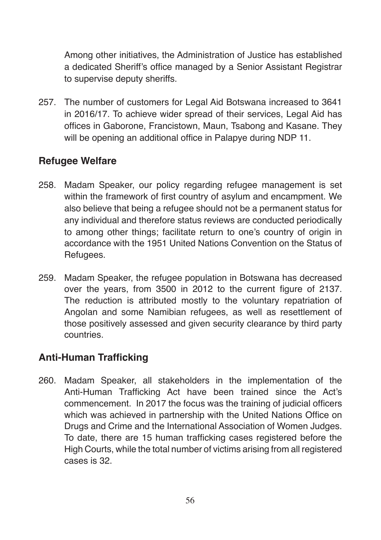Among other initiatives, the Administration of Justice has established a dedicated Sheriff's office managed by a Senior Assistant Registrar to supervise deputy sheriffs.

257. The number of customers for Legal Aid Botswana increased to 3641 in 2016/17. To achieve wider spread of their services, Legal Aid has offices in Gaborone, Francistown, Maun, Tsabong and Kasane. They will be opening an additional office in Palapye during NDP 11.

# **Refugee Welfare**

- 258. Madam Speaker, our policy regarding refugee management is set within the framework of first country of asylum and encampment. We also believe that being a refugee should not be a permanent status for any individual and therefore status reviews are conducted periodically to among other things; facilitate return to one's country of origin in accordance with the 1951 United Nations Convention on the Status of Refugees.
- 259. Madam Speaker, the refugee population in Botswana has decreased over the years, from 3500 in 2012 to the current figure of 2137. The reduction is attributed mostly to the voluntary repatriation of Angolan and some Namibian refugees, as well as resettlement of those positively assessed and given security clearance by third party countries.

## **Anti-Human Trafficking**

260. Madam Speaker, all stakeholders in the implementation of the Anti-Human Trafficking Act have been trained since the Act's commencement. In 2017 the focus was the training of judicial officers which was achieved in partnership with the United Nations Office on Drugs and Crime and the International Association of Women Judges. To date, there are 15 human trafficking cases registered before the High Courts, while the total number of victims arising from all registered cases is 32.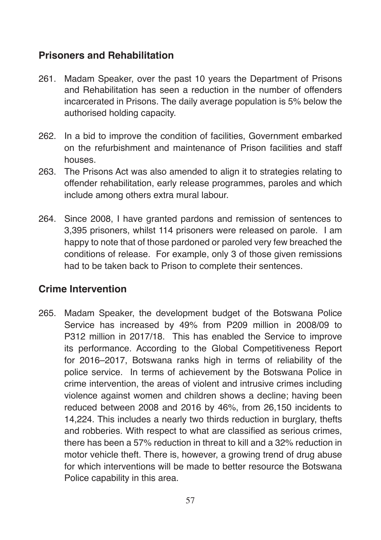## **Prisoners and Rehabilitation**

- 261. Madam Speaker, over the past 10 years the Department of Prisons and Rehabilitation has seen a reduction in the number of offenders incarcerated in Prisons. The daily average population is 5% below the authorised holding capacity.
- 262. In a bid to improve the condition of facilities, Government embarked on the refurbishment and maintenance of Prison facilities and staff houses.
- 263. The Prisons Act was also amended to align it to strategies relating to offender rehabilitation, early release programmes, paroles and which include among others extra mural labour.
- 264. Since 2008, I have granted pardons and remission of sentences to 3,395 prisoners, whilst 114 prisoners were released on parole. I am happy to note that of those pardoned or paroled very few breached the conditions of release. For example, only 3 of those given remissions had to be taken back to Prison to complete their sentences.

## **Crime Intervention**

265. Madam Speaker, the development budget of the Botswana Police Service has increased by 49% from P209 million in 2008/09 to P312 million in 2017/18. This has enabled the Service to improve its performance. According to the Global Competitiveness Report for 2016–2017, Botswana ranks high in terms of reliability of the police service. In terms of achievement by the Botswana Police in crime intervention, the areas of violent and intrusive crimes including violence against women and children shows a decline; having been reduced between 2008 and 2016 by 46%, from 26,150 incidents to 14,224. This includes a nearly two thirds reduction in burglary, thefts and robberies. With respect to what are classified as serious crimes, there has been a 57% reduction in threat to kill and a 32% reduction in motor vehicle theft. There is, however, a growing trend of drug abuse for which interventions will be made to better resource the Botswana Police capability in this area.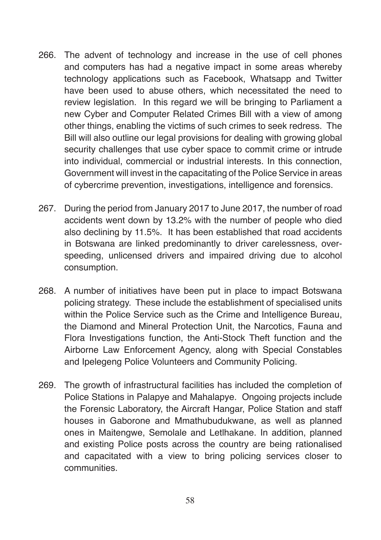- 266. The advent of technology and increase in the use of cell phones and computers has had a negative impact in some areas whereby technology applications such as Facebook, Whatsapp and Twitter have been used to abuse others, which necessitated the need to review legislation. In this regard we will be bringing to Parliament a new Cyber and Computer Related Crimes Bill with a view of among other things, enabling the victims of such crimes to seek redress. The Bill will also outline our legal provisions for dealing with growing global security challenges that use cyber space to commit crime or intrude into individual, commercial or industrial interests. In this connection, Government will invest in the capacitating of the Police Service in areas of cybercrime prevention, investigations, intelligence and forensics.
- 267. During the period from January 2017 to June 2017, the number of road accidents went down by 13.2% with the number of people who died also declining by 11.5%. It has been established that road accidents in Botswana are linked predominantly to driver carelessness, overspeeding, unlicensed drivers and impaired driving due to alcohol consumption.
- 268. A number of initiatives have been put in place to impact Botswana policing strategy. These include the establishment of specialised units within the Police Service such as the Crime and Intelligence Bureau, the Diamond and Mineral Protection Unit, the Narcotics, Fauna and Flora Investigations function, the Anti-Stock Theft function and the Airborne Law Enforcement Agency, along with Special Constables and Ipelegeng Police Volunteers and Community Policing.
- 269. The growth of infrastructural facilities has included the completion of Police Stations in Palapye and Mahalapye. Ongoing projects include the Forensic Laboratory, the Aircraft Hangar, Police Station and staff houses in Gaborone and Mmathubudukwane, as well as planned ones in Maitengwe, Semolale and Letlhakane. In addition, planned and existing Police posts across the country are being rationalised and capacitated with a view to bring policing services closer to communities.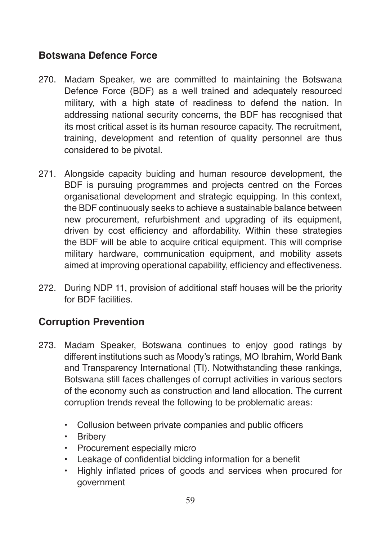## **Botswana Defence Force**

- 270. Madam Speaker, we are committed to maintaining the Botswana Defence Force (BDF) as a well trained and adequately resourced military, with a high state of readiness to defend the nation. In addressing national security concerns, the BDF has recognised that its most critical asset is its human resource capacity. The recruitment, training, development and retention of quality personnel are thus considered to be pivotal.
- 271. Alongside capacity buiding and human resource development, the BDF is pursuing programmes and projects centred on the Forces organisational development and strategic equipping. In this context, the BDF continuously seeks to achieve a sustainable balance between new procurement, refurbishment and upgrading of its equipment, driven by cost efficiency and affordability. Within these strategies the BDF will be able to acquire critical equipment. This will comprise military hardware, communication equipment, and mobility assets aimed at improving operational capability, efficiency and effectiveness.
- 272. During NDP 11, provision of additional staff houses will be the priority for BDF facilities.

## **Corruption Prevention**

- 273. Madam Speaker, Botswana continues to enjoy good ratings by different institutions such as Moody's ratings, MO Ibrahim, World Bank and Transparency International (TI). Notwithstanding these rankings, Botswana still faces challenges of corrupt activities in various sectors of the economy such as construction and land allocation. The current corruption trends reveal the following to be problematic areas:
	- Collusion between private companies and public officers
	- Bribery
	- Procurement especially micro
	- Leakage of confidential bidding information for a benefit
	- Highly inflated prices of goods and services when procured for government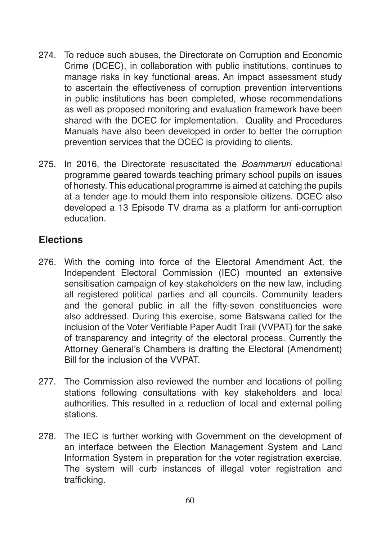- 274. To reduce such abuses, the Directorate on Corruption and Economic Crime (DCEC), in collaboration with public institutions, continues to manage risks in key functional areas. An impact assessment study to ascertain the effectiveness of corruption prevention interventions in public institutions has been completed, whose recommendations as well as proposed monitoring and evaluation framework have been shared with the DCEC for implementation. Quality and Procedures Manuals have also been developed in order to better the corruption prevention services that the DCEC is providing to clients.
- 275. In 2016, the Directorate resuscitated the *Boammaruri* educational programme geared towards teaching primary school pupils on issues of honesty. This educational programme is aimed at catching the pupils at a tender age to mould them into responsible citizens. DCEC also developed a 13 Episode TV drama as a platform for anti-corruption education.

### **Elections**

- 276. With the coming into force of the Electoral Amendment Act, the Independent Electoral Commission (IEC) mounted an extensive sensitisation campaign of key stakeholders on the new law, including all registered political parties and all councils. Community leaders and the general public in all the fifty-seven constituencies were also addressed. During this exercise, some Batswana called for the inclusion of the Voter Verifiable Paper Audit Trail (VVPAT) for the sake of transparency and integrity of the electoral process. Currently the Attorney General's Chambers is drafting the Electoral (Amendment) Bill for the inclusion of the VVPAT.
- 277. The Commission also reviewed the number and locations of polling stations following consultations with key stakeholders and local authorities. This resulted in a reduction of local and external polling stations.
- 278. The IEC is further working with Government on the development of an interface between the Election Management System and Land Information System in preparation for the voter registration exercise. The system will curb instances of illegal voter registration and trafficking.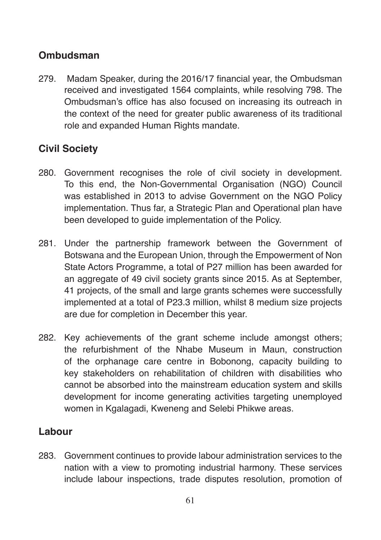## **Ombudsman**

279. Madam Speaker, during the 2016/17 financial year, the Ombudsman received and investigated 1564 complaints, while resolving 798. The Ombudsman's office has also focused on increasing its outreach in the context of the need for greater public awareness of its traditional role and expanded Human Rights mandate.

# **Civil Society**

- 280. Government recognises the role of civil society in development. To this end, the Non-Governmental Organisation (NGO) Council was established in 2013 to advise Government on the NGO Policy implementation. Thus far, a Strategic Plan and Operational plan have been developed to guide implementation of the Policy.
- 281. Under the partnership framework between the Government of Botswana and the European Union, through the Empowerment of Non State Actors Programme, a total of P27 million has been awarded for an aggregate of 49 civil society grants since 2015. As at September, 41 projects, of the small and large grants schemes were successfully implemented at a total of P23.3 million, whilst 8 medium size projects are due for completion in December this year.
- 282. Key achievements of the grant scheme include amongst others; the refurbishment of the Nhabe Museum in Maun, construction of the orphanage care centre in Bobonong, capacity building to key stakeholders on rehabilitation of children with disabilities who cannot be absorbed into the mainstream education system and skills development for income generating activities targeting unemployed women in Kgalagadi, Kweneng and Selebi Phikwe areas.

### **Labour**

283. Government continues to provide labour administration services to the nation with a view to promoting industrial harmony. These services include labour inspections, trade disputes resolution, promotion of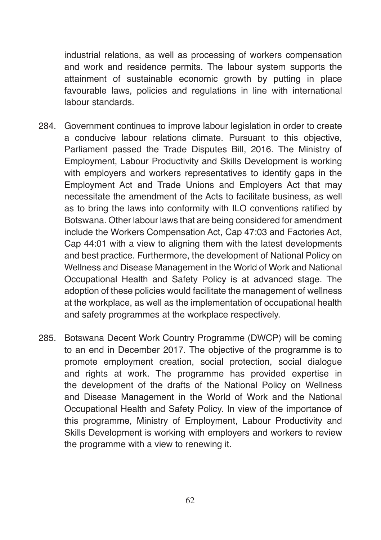industrial relations, as well as processing of workers compensation and work and residence permits. The labour system supports the attainment of sustainable economic growth by putting in place favourable laws, policies and regulations in line with international labour standards.

- 284. Government continues to improve labour legislation in order to create a conducive labour relations climate. Pursuant to this objective, Parliament passed the Trade Disputes Bill, 2016. The Ministry of Employment, Labour Productivity and Skills Development is working with employers and workers representatives to identify gaps in the Employment Act and Trade Unions and Employers Act that may necessitate the amendment of the Acts to facilitate business, as well as to bring the laws into conformity with ILO conventions ratified by Botswana. Other labour laws that are being considered for amendment include the Workers Compensation Act, Cap 47:03 and Factories Act, Cap 44:01 with a view to aligning them with the latest developments and best practice. Furthermore, the development of National Policy on Wellness and Disease Management in the World of Work and National Occupational Health and Safety Policy is at advanced stage. The adoption of these policies would facilitate the management of wellness at the workplace, as well as the implementation of occupational health and safety programmes at the workplace respectively.
- 285. Botswana Decent Work Country Programme (DWCP) will be coming to an end in December 2017. The objective of the programme is to promote employment creation, social protection, social dialogue and rights at work. The programme has provided expertise in the development of the drafts of the National Policy on Wellness and Disease Management in the World of Work and the National Occupational Health and Safety Policy. In view of the importance of this programme, Ministry of Employment, Labour Productivity and Skills Development is working with employers and workers to review the programme with a view to renewing it.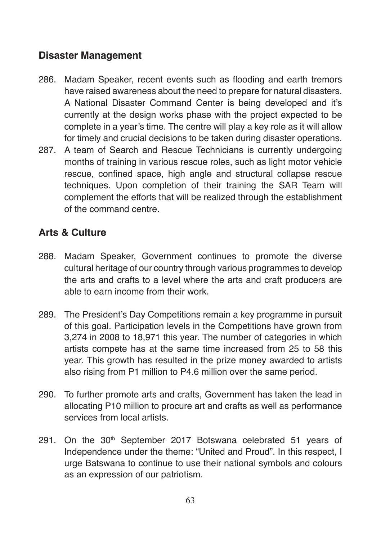## **Disaster Management**

- 286. Madam Speaker, recent events such as flooding and earth tremors have raised awareness about the need to prepare for natural disasters. A National Disaster Command Center is being developed and it's currently at the design works phase with the project expected to be complete in a year's time. The centre will play a key role as it will allow for timely and crucial decisions to be taken during disaster operations.
- 287. A team of Search and Rescue Technicians is currently undergoing months of training in various rescue roles, such as light motor vehicle rescue, confined space, high angle and structural collapse rescue techniques. Upon completion of their training the SAR Team will complement the efforts that will be realized through the establishment of the command centre.

# **Arts & Culture**

- 288. Madam Speaker, Government continues to promote the diverse cultural heritage of our country through various programmes to develop the arts and crafts to a level where the arts and craft producers are able to earn income from their work.
- 289. The President's Day Competitions remain a key programme in pursuit of this goal. Participation levels in the Competitions have grown from 3,274 in 2008 to 18,971 this year. The number of categories in which artists compete has at the same time increased from 25 to 58 this year. This growth has resulted in the prize money awarded to artists also rising from P1 million to P4.6 million over the same period.
- 290. To further promote arts and crafts, Government has taken the lead in allocating P10 million to procure art and crafts as well as performance services from local artists.
- 291. On the 30<sup>th</sup> September 2017 Botswana celebrated 51 years of Independence under the theme: "United and Proud". In this respect, I urge Batswana to continue to use their national symbols and colours as an expression of our patriotism.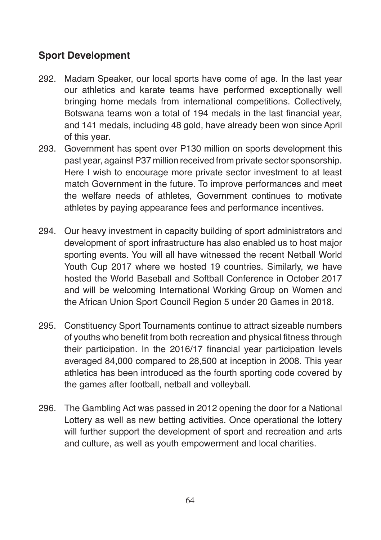# **Sport Development**

- 292. Madam Speaker, our local sports have come of age. In the last year our athletics and karate teams have performed exceptionally well bringing home medals from international competitions. Collectively, Botswana teams won a total of 194 medals in the last financial year, and 141 medals, including 48 gold, have already been won since April of this year.
- 293. Government has spent over P130 million on sports development this past year, against P37 million received from private sector sponsorship. Here I wish to encourage more private sector investment to at least match Government in the future. To improve performances and meet the welfare needs of athletes, Government continues to motivate athletes by paying appearance fees and performance incentives.
- 294. Our heavy investment in capacity building of sport administrators and development of sport infrastructure has also enabled us to host major sporting events. You will all have witnessed the recent Netball World Youth Cup 2017 where we hosted 19 countries. Similarly, we have hosted the World Baseball and Softball Conference in October 2017 and will be welcoming International Working Group on Women and the African Union Sport Council Region 5 under 20 Games in 2018.
- 295. Constituency Sport Tournaments continue to attract sizeable numbers of youths who benefit from both recreation and physical fitness through their participation. In the 2016/17 financial year participation levels averaged 84,000 compared to 28,500 at inception in 2008. This year athletics has been introduced as the fourth sporting code covered by the games after football, netball and volleyball.
- 296. The Gambling Act was passed in 2012 opening the door for a National Lottery as well as new betting activities. Once operational the lottery will further support the development of sport and recreation and arts and culture, as well as youth empowerment and local charities.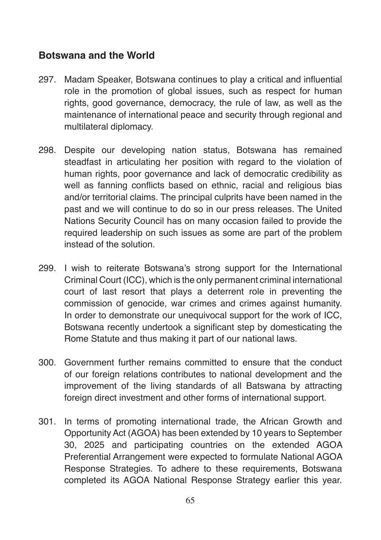### **Botswana and the World**

- 297. Madam Speaker, Botswana continues to play a critical and influential role in the promotion of global issues, such as respect for human rights, good governance, democracy, the rule of law, as well as the maintenance of international peace and security through regional and multilateral diplomacy.
- 298. Despite our developing nation status, Botswana has remained steadfast in articulating her position with regard to the violation of human rights, poor governance and lack of democratic credibility as well as fanning conflicts based on ethnic, racial and religious bias and/or territorial claims. The principal culprits have been named in the past and we will continue to do so in our press releases. The United Nations Security Council has on many occasion failed to provide the required leadership on such issues as some are part of the problem instead of the solution.
- 299. I wish to reiterate Botswana's strong support for the International Criminal Court (ICC), which is the only permanent criminal international court of last resort that plays a deterrent role in preventing the commission of genocide, war crimes and crimes against humanity. In order to demonstrate our unequivocal support for the work of ICC, Botswana recently undertook a significant step by domesticating the Rome Statute and thus making it part of our national laws.
- 300. Government further remains committed to ensure that the conduct of our foreign relations contributes to national development and the improvement of the living standards of all Batswana by attracting foreign direct investment and other forms of international support.
- 301. In terms of promoting international trade, the African Growth and Opportunity Act (AGOA) has been extended by 10 years to September 30, 2025 and participating countries on the extended AGOA Preferential Arrangement were expected to formulate National AGOA Response Strategies. To adhere to these requirements, Botswana completed its AGOA National Response Strategy earlier this year.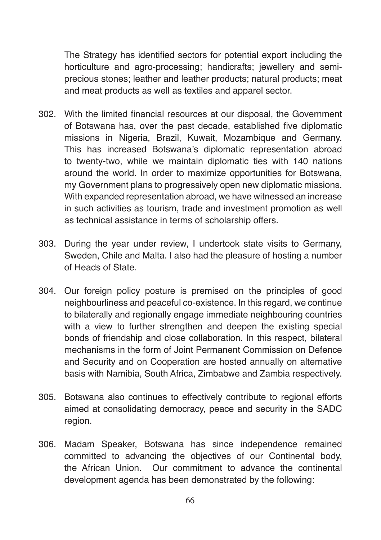The Strategy has identified sectors for potential export including the horticulture and agro-processing; handicrafts; jewellery and semiprecious stones; leather and leather products; natural products; meat and meat products as well as textiles and apparel sector.

- 302. With the limited financial resources at our disposal, the Government of Botswana has, over the past decade, established five diplomatic missions in Nigeria, Brazil, Kuwait, Mozambique and Germany. This has increased Botswana's diplomatic representation abroad to twenty-two, while we maintain diplomatic ties with 140 nations around the world. In order to maximize opportunities for Botswana, my Government plans to progressively open new diplomatic missions. With expanded representation abroad, we have witnessed an increase in such activities as tourism, trade and investment promotion as well as technical assistance in terms of scholarship offers.
- 303. During the year under review, I undertook state visits to Germany, Sweden, Chile and Malta. I also had the pleasure of hosting a number of Heads of State.
- 304. Our foreign policy posture is premised on the principles of good neighbourliness and peaceful co-existence. In this regard, we continue to bilaterally and regionally engage immediate neighbouring countries with a view to further strengthen and deepen the existing special bonds of friendship and close collaboration. In this respect, bilateral mechanisms in the form of Joint Permanent Commission on Defence and Security and on Cooperation are hosted annually on alternative basis with Namibia, South Africa, Zimbabwe and Zambia respectively.
- 305. Botswana also continues to effectively contribute to regional efforts aimed at consolidating democracy, peace and security in the SADC region.
- 306. Madam Speaker, Botswana has since independence remained committed to advancing the objectives of our Continental body, the African Union. Our commitment to advance the continental development agenda has been demonstrated by the following: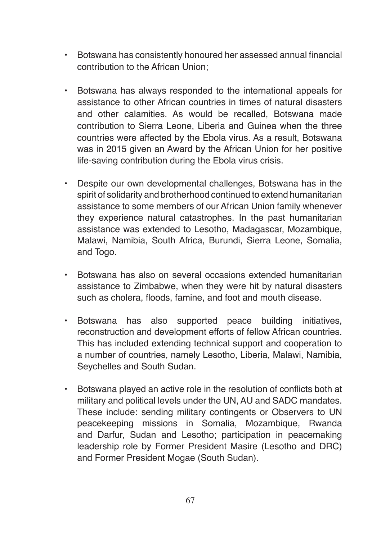- Botswana has consistently honoured her assessed annual financial contribution to the African Union;
- Botswana has always responded to the international appeals for assistance to other African countries in times of natural disasters and other calamities. As would be recalled, Botswana made contribution to Sierra Leone, Liberia and Guinea when the three countries were affected by the Ebola virus. As a result, Botswana was in 2015 given an Award by the African Union for her positive life-saving contribution during the Ebola virus crisis.
- Despite our own developmental challenges, Botswana has in the spirit of solidarity and brotherhood continued to extend humanitarian assistance to some members of our African Union family whenever they experience natural catastrophes. In the past humanitarian assistance was extended to Lesotho, Madagascar, Mozambique, Malawi, Namibia, South Africa, Burundi, Sierra Leone, Somalia, and Togo.
- Botswana has also on several occasions extended humanitarian assistance to Zimbabwe, when they were hit by natural disasters such as cholera, floods, famine, and foot and mouth disease.
- Botswana has also supported peace building initiatives, reconstruction and development efforts of fellow African countries. This has included extending technical support and cooperation to a number of countries, namely Lesotho, Liberia, Malawi, Namibia, Seychelles and South Sudan.
- Botswana played an active role in the resolution of conflicts both at military and political levels under the UN, AU and SADC mandates. These include: sending military contingents or Observers to UN peacekeeping missions in Somalia, Mozambique, Rwanda and Darfur, Sudan and Lesotho; participation in peacemaking leadership role by Former President Masire (Lesotho and DRC) and Former President Mogae (South Sudan).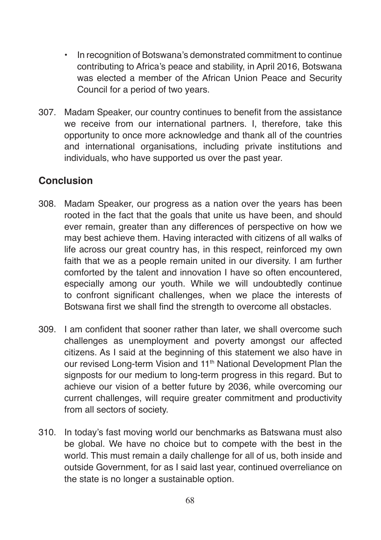- In recognition of Botswana's demonstrated commitment to continue contributing to Africa's peace and stability, in April 2016, Botswana was elected a member of the African Union Peace and Security Council for a period of two years.
- 307. Madam Speaker, our country continues to benefit from the assistance we receive from our international partners. I, therefore, take this opportunity to once more acknowledge and thank all of the countries and international organisations, including private institutions and individuals, who have supported us over the past year.

### **Conclusion**

- 308. Madam Speaker, our progress as a nation over the years has been rooted in the fact that the goals that unite us have been, and should ever remain, greater than any differences of perspective on how we may best achieve them. Having interacted with citizens of all walks of life across our great country has, in this respect, reinforced my own faith that we as a people remain united in our diversity. I am further comforted by the talent and innovation I have so often encountered, especially among our youth. While we will undoubtedly continue to confront significant challenges, when we place the interests of Botswana first we shall find the strength to overcome all obstacles.
- 309. I am confident that sooner rather than later, we shall overcome such challenges as unemployment and poverty amongst our affected citizens. As I said at the beginning of this statement we also have in our revised Long-term Vision and 11<sup>th</sup> National Development Plan the signposts for our medium to long-term progress in this regard. But to achieve our vision of a better future by 2036, while overcoming our current challenges, will require greater commitment and productivity from all sectors of society.
- 310. In today's fast moving world our benchmarks as Batswana must also be global. We have no choice but to compete with the best in the world. This must remain a daily challenge for all of us, both inside and outside Government, for as I said last year, continued overreliance on the state is no longer a sustainable option.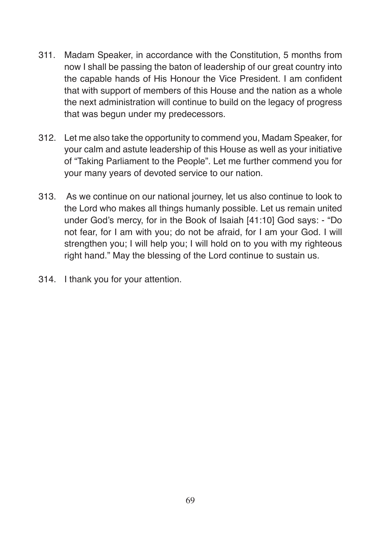- 311. Madam Speaker, in accordance with the Constitution, 5 months from now I shall be passing the baton of leadership of our great country into the capable hands of His Honour the Vice President. I am confident that with support of members of this House and the nation as a whole the next administration will continue to build on the legacy of progress that was begun under my predecessors.
- 312. Let me also take the opportunity to commend you, Madam Speaker, for your calm and astute leadership of this House as well as your initiative of "Taking Parliament to the People". Let me further commend you for your many years of devoted service to our nation.
- 313. As we continue on our national journey, let us also continue to look to the Lord who makes all things humanly possible. Let us remain united under God's mercy, for in the Book of Isaiah [41:10] God says: - "Do not fear, for I am with you; do not be afraid, for I am your God. I will strengthen you; I will help you; I will hold on to you with my righteous right hand." May the blessing of the Lord continue to sustain us.
- 314. I thank you for your attention.